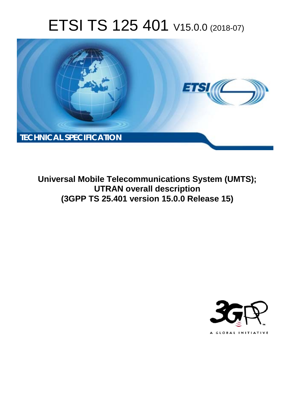# ETSI TS 125 401 V15.0.0 (2018-07)



**Universal Mobile Telecommunications System (UMTS); UTRAN overall description (3GPP TS 25.401 version 15.0.0 Release 15)** 

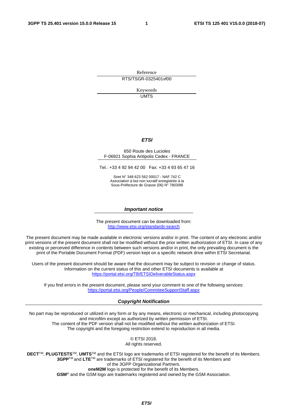Reference RTS/TSGR-0325401vf00

> Keywords UMTS

#### *ETSI*

#### 650 Route des Lucioles F-06921 Sophia Antipolis Cedex - FRANCE

Tel.: +33 4 92 94 42 00 Fax: +33 4 93 65 47 16

Siret N° 348 623 562 00017 - NAF 742 C Association à but non lucratif enregistrée à la Sous-Préfecture de Grasse (06) N° 7803/88

#### *Important notice*

The present document can be downloaded from: <http://www.etsi.org/standards-search>

The present document may be made available in electronic versions and/or in print. The content of any electronic and/or print versions of the present document shall not be modified without the prior written authorization of ETSI. In case of any existing or perceived difference in contents between such versions and/or in print, the only prevailing document is the print of the Portable Document Format (PDF) version kept on a specific network drive within ETSI Secretariat.

Users of the present document should be aware that the document may be subject to revision or change of status. Information on the current status of this and other ETSI documents is available at <https://portal.etsi.org/TB/ETSIDeliverableStatus.aspx>

If you find errors in the present document, please send your comment to one of the following services: <https://portal.etsi.org/People/CommiteeSupportStaff.aspx>

#### *Copyright Notification*

No part may be reproduced or utilized in any form or by any means, electronic or mechanical, including photocopying and microfilm except as authorized by written permission of ETSI. The content of the PDF version shall not be modified without the written authorization of ETSI. The copyright and the foregoing restriction extend to reproduction in all media.

> © ETSI 2018. All rights reserved.

**DECT**TM, **PLUGTESTS**TM, **UMTS**TM and the ETSI logo are trademarks of ETSI registered for the benefit of its Members. **3GPP**TM and **LTE**TM are trademarks of ETSI registered for the benefit of its Members and of the 3GPP Organizational Partners. **oneM2M** logo is protected for the benefit of its Members.

**GSM**® and the GSM logo are trademarks registered and owned by the GSM Association.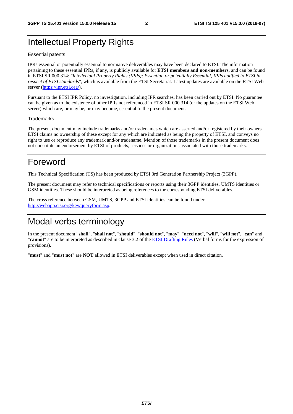## Intellectual Property Rights

#### Essential patents

IPRs essential or potentially essential to normative deliverables may have been declared to ETSI. The information pertaining to these essential IPRs, if any, is publicly available for **ETSI members and non-members**, and can be found in ETSI SR 000 314: *"Intellectual Property Rights (IPRs); Essential, or potentially Essential, IPRs notified to ETSI in respect of ETSI standards"*, which is available from the ETSI Secretariat. Latest updates are available on the ETSI Web server ([https://ipr.etsi.org/\)](https://ipr.etsi.org/).

Pursuant to the ETSI IPR Policy, no investigation, including IPR searches, has been carried out by ETSI. No guarantee can be given as to the existence of other IPRs not referenced in ETSI SR 000 314 (or the updates on the ETSI Web server) which are, or may be, or may become, essential to the present document.

#### **Trademarks**

The present document may include trademarks and/or tradenames which are asserted and/or registered by their owners. ETSI claims no ownership of these except for any which are indicated as being the property of ETSI, and conveys no right to use or reproduce any trademark and/or tradename. Mention of those trademarks in the present document does not constitute an endorsement by ETSI of products, services or organizations associated with those trademarks.

## Foreword

This Technical Specification (TS) has been produced by ETSI 3rd Generation Partnership Project (3GPP).

The present document may refer to technical specifications or reports using their 3GPP identities, UMTS identities or GSM identities. These should be interpreted as being references to the corresponding ETSI deliverables.

The cross reference between GSM, UMTS, 3GPP and ETSI identities can be found under [http://webapp.etsi.org/key/queryform.asp.](http://webapp.etsi.org/key/queryform.asp)

## Modal verbs terminology

In the present document "**shall**", "**shall not**", "**should**", "**should not**", "**may**", "**need not**", "**will**", "**will not**", "**can**" and "**cannot**" are to be interpreted as described in clause 3.2 of the [ETSI Drafting Rules](https://portal.etsi.org/Services/editHelp!/Howtostart/ETSIDraftingRules.aspx) (Verbal forms for the expression of provisions).

"**must**" and "**must not**" are **NOT** allowed in ETSI deliverables except when used in direct citation.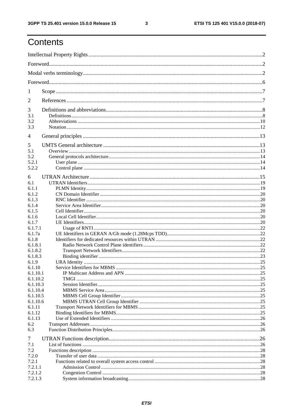$\mathbf{3}$ 

## Contents

| $\mathbf{I}$    |      |  |
|-----------------|------|--|
| $\overline{2}$  |      |  |
| 3<br>3.1        |      |  |
| 3.2             |      |  |
| 3.3             |      |  |
| $\overline{4}$  |      |  |
| 5               |      |  |
| 5.1             |      |  |
| 5.2             |      |  |
| 5.2.1<br>5.2.2  |      |  |
|                 |      |  |
| 6               |      |  |
| 6.1             |      |  |
| 6.1.1           |      |  |
| 6.1.2           |      |  |
| 6.1.3<br>6.1.4  |      |  |
| 6.1.5           |      |  |
| 6.1.6           |      |  |
| 6.1.7           |      |  |
| 6.1.7.1         |      |  |
| 6.1.7a          |      |  |
| 6.1.8           |      |  |
| 6.1.8.1         |      |  |
| 6.1.8.2         |      |  |
| 6.1.8.3         |      |  |
| 6.1.9<br>6.1.10 |      |  |
| 6.1.10.1        |      |  |
| 6.1.10.2        | TMGL |  |
| 6.1.10.3        |      |  |
| 6.1.10.4        |      |  |
| 6.1.10.5        |      |  |
| 6.1.10.6        |      |  |
| 6.1.11          |      |  |
| 6.1.12          |      |  |
| 6.1.13          |      |  |
| 6.2             |      |  |
| 6.3             |      |  |
| 7               |      |  |
| 7.1             |      |  |
| 7.2             |      |  |
| 7.2.0           |      |  |
| 7.2.1           |      |  |
| 7.2.1.1         |      |  |
| 7.2.1.2         |      |  |
| 7.2.1.3         |      |  |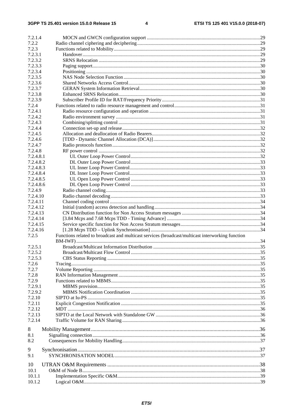$\overline{\mathbf{4}}$ 

| 7.2.1.4   |                                                                                                  |  |
|-----------|--------------------------------------------------------------------------------------------------|--|
| 7.2.2     |                                                                                                  |  |
| 7.2.3     |                                                                                                  |  |
| 7.2.3.1   |                                                                                                  |  |
| 7.2.3.2   |                                                                                                  |  |
| 7.2.3.3   |                                                                                                  |  |
| 7.2.3.4   |                                                                                                  |  |
| 7.2.3.5   |                                                                                                  |  |
| 7.2.3.6   |                                                                                                  |  |
| 7.2.3.7   |                                                                                                  |  |
| 7.2.3.8   |                                                                                                  |  |
| 7.2.3.9   |                                                                                                  |  |
| 7.2.4     |                                                                                                  |  |
| 7.2.4.1   |                                                                                                  |  |
|           |                                                                                                  |  |
| 7.2.4.2   |                                                                                                  |  |
| 7.2.4.3   |                                                                                                  |  |
| 7.2.4.4   |                                                                                                  |  |
| 7.2.4.5   |                                                                                                  |  |
| 7.2.4.6   |                                                                                                  |  |
| 7.2.4.7   |                                                                                                  |  |
| 7.2.4.8   |                                                                                                  |  |
| 7.2.4.8.1 |                                                                                                  |  |
| 7.2.4.8.2 |                                                                                                  |  |
| 7.2.4.8.3 |                                                                                                  |  |
| 7.2.4.8.4 |                                                                                                  |  |
| 7.2.4.8.5 |                                                                                                  |  |
| 7.2.4.8.6 |                                                                                                  |  |
| 7.2.4.9   |                                                                                                  |  |
| 7.2.4.10  |                                                                                                  |  |
| 7.2.4.11  |                                                                                                  |  |
| 7.2.4.12  |                                                                                                  |  |
| 7.2.4.13  |                                                                                                  |  |
| 7.2.4.14  |                                                                                                  |  |
| 7.2.4.15  |                                                                                                  |  |
| 7.2.4.16  |                                                                                                  |  |
| 7.2.5     | Functions related to broadcast and multicast services (broadcast/multicast interworking function |  |
|           |                                                                                                  |  |
| 7.2.5.1   |                                                                                                  |  |
| 7.2.5.2   |                                                                                                  |  |
| 7.2.5.3   |                                                                                                  |  |
| 7.2.6     |                                                                                                  |  |
| 7.2.7     |                                                                                                  |  |
| 7.2.8     |                                                                                                  |  |
|           |                                                                                                  |  |
| 7.2.9     |                                                                                                  |  |
| 7.2.9.1   |                                                                                                  |  |
| 7.2.9.2   |                                                                                                  |  |
| 7.2.10    |                                                                                                  |  |
| 7.2.11    |                                                                                                  |  |
| 7.2.12    |                                                                                                  |  |
| 7.2.13    |                                                                                                  |  |
| 7.2.14    |                                                                                                  |  |
| 8         |                                                                                                  |  |
| 8.1       |                                                                                                  |  |
| 8.2       |                                                                                                  |  |
|           |                                                                                                  |  |
| 9         |                                                                                                  |  |
| 9.1       |                                                                                                  |  |
|           |                                                                                                  |  |
| 10        |                                                                                                  |  |
| 10.1      |                                                                                                  |  |
| 10.1.1    |                                                                                                  |  |
| 10.1.2    |                                                                                                  |  |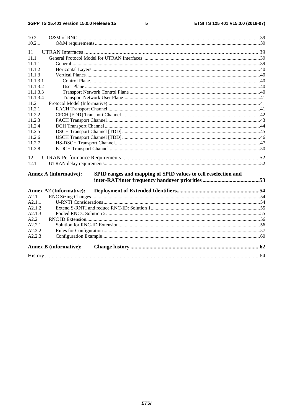#### $5\phantom{a}$

| 10.2     |                                                                                                 |  |
|----------|-------------------------------------------------------------------------------------------------|--|
| 10.2.1   |                                                                                                 |  |
| 11       |                                                                                                 |  |
| 11.1     |                                                                                                 |  |
| 11.1.1   |                                                                                                 |  |
| 11.1.2   |                                                                                                 |  |
| 11.1.3   |                                                                                                 |  |
| 11.1.3.1 |                                                                                                 |  |
| 11.1.3.2 |                                                                                                 |  |
| 11.1.3.3 |                                                                                                 |  |
| 11.1.3.4 |                                                                                                 |  |
| 11.2     |                                                                                                 |  |
| 11.2.1   |                                                                                                 |  |
| 11.2.2   |                                                                                                 |  |
| 11.2.3   |                                                                                                 |  |
| 11.2.4   |                                                                                                 |  |
| 11.2.5   |                                                                                                 |  |
| 11.2.6   |                                                                                                 |  |
| 11.2.7   |                                                                                                 |  |
| 11.2.8   |                                                                                                 |  |
| 12       |                                                                                                 |  |
| 12.1     |                                                                                                 |  |
|          |                                                                                                 |  |
|          | SPID ranges and mapping of SPID values to cell reselection and<br><b>Annex A (informative):</b> |  |
|          |                                                                                                 |  |
|          | <b>Annex A2 (Informative):</b>                                                                  |  |
| A2.1     |                                                                                                 |  |
| A2.1.1   |                                                                                                 |  |
| A2.1.2   |                                                                                                 |  |
| A2.1.3   |                                                                                                 |  |
| A2.2     |                                                                                                 |  |
| A2.2.1   |                                                                                                 |  |
| A2.2.2   |                                                                                                 |  |
| A2.2.3   |                                                                                                 |  |
|          | <b>Annex B</b> (informative):                                                                   |  |
|          |                                                                                                 |  |
|          |                                                                                                 |  |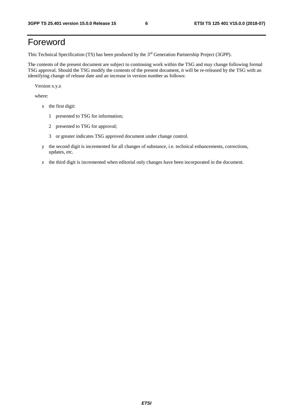## Foreword

This Technical Specification (TS) has been produced by the 3rd Generation Partnership Project (3GPP).

The contents of the present document are subject to continuing work within the TSG and may change following formal TSG approval. Should the TSG modify the contents of the present document, it will be re-released by the TSG with an identifying change of release date and an increase in version number as follows:

Version x.y.z

where:

- x the first digit:
	- 1 presented to TSG for information;
	- 2 presented to TSG for approval;
	- 3 or greater indicates TSG approved document under change control.
- y the second digit is incremented for all changes of substance, i.e. technical enhancements, corrections, updates, etc.
- z the third digit is incremented when editorial only changes have been incorporated in the document.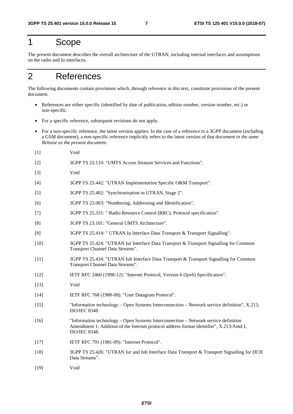## 1 Scope

The present document describes the overall architecture of the UTRAN, including internal interfaces and assumptions on the radio and Iu interfaces.

## 2 References

The following documents contain provisions which, through reference in this text, constitute provisions of the present document.

- References are either specific (identified by date of publication, edition number, version number, etc.) or non-specific.
- For a specific reference, subsequent revisions do not apply.
- For a non-specific reference, the latest version applies. In the case of a reference to a 3GPP document (including a GSM document), a non-specific reference implicitly refers to the latest version of that document *in the same Release as the present document*.
- [1] Void
- [2] 3GPP TS 23.110: "UMTS Access Stratum Services and Functions".
- [3] Void
- [4] 3GPP TS 25.442: "UTRAN Implementation Specific O&M Transport".
- [5] 3GPP TS 25.402: "Synchronisation in UTRAN, Stage 2".
- [6] 3GPP TS 23.003: "Numbering, Addressing and Identification".
- [7] 3GPP TS 25.331: " Radio Resource Control (RRC); Protocol specification".
- [8] 3GPP TS 23.101: "General UMTS Architecture".
- [9] 3GPP TS 25.414: " UTRAN Iu Interface Data Transport & Transport Signalling".
- [10] 3GPP TS 25.424: "UTRAN Iur Interface Data Transport & Transport Signalling for Common Transport Channel Data Streams".
- [11] 3GPP TS 25.434: "UTRAN Iub Interface Data Transport & Transport Signalling for Common Transport Channel Data Streams".
- [12] IETF RFC 2460 (1998-12): "Internet Protocol, Version 6 (Ipv6) Specification".
- [13] Void
- [14] IETF RFC 768 (1980-08): "User Datagram Protocol".
- [15] "Information technology Open Systems Interconnection Network service definition", X.213, ISO/IEC 8348.
- [16] "Information technology Open Systems Interconnection Network service definition Amendment 1: Addition of the Internet protocol address format identifier", X.213/Amd.1, ISO/IEC 8348.
- [17] **IETF RFC 791 (1981-09): "Internet Protocol".**
- [18] 3GPP TS 25.426: "UTRAN Iur and Iub Interface Data Transport & Transport Signalling for DCH Data Streams".
- [19] Void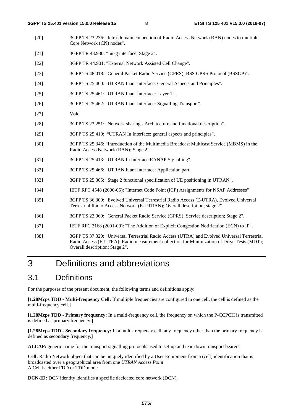- [20] 3GPP TS 23.236: "Intra-domain connection of Radio Access Network (RAN) nodes to multiple Core Network (CN) nodes".
- [21] 3GPP TR 43.930: "Iur-g interface; Stage 2".
- [22] 3GPP TR 44.901: "External Network Assisted Cell Change".
- [23] 3GPP TS 48.018: "General Packet Radio Service (GPRS); BSS GPRS Protocol (BSSGP)".
- [24] 3GPP TS 25.460: "UTRAN Iuant Interface: General Aspects and Principles".
- [25] 3GPP TS 25.461: "UTRAN Iuant Interface: Layer 1".
- [26] 3GPP TS 25.462: "UTRAN Iuant Interface: Signalling Transport".
- [27] Void
- [28] 3GPP TS 23.251: "Network sharing Architecture and functional description".
- [29] 3GPP TS 25.410: "UTRAN Iu Interface: general aspects and principles".
- [30] 3GPP TS 25.346: "Introduction of the Multimedia Broadcast Multicast Service (MBMS) in the Radio Access Network (RAN); Stage 2".
- [31] 3GPP TS 25.413: "UTRAN Iu Interface RANAP Signalling".
- [32] 3GPP TS 25.466: "UTRAN Iuant Interface: Application part".
- [33] 3GPP TS 25.305: "Stage 2 functional specification of UE positioning in UTRAN".
- [34] IETF RFC 4548 (2006-05): "Internet Code Point (ICP) Assignments for NSAP Addresses"
- [35] 3GPP TS 36.300: "Evolved Universal Terrestrial Radio Access (E-UTRA), Evolved Universal Terrestrial Radio Access Network (E-UTRAN); Overall description; stage 2".
- [36] 3GPP TS 23.060: "General Packet Radio Service (GPRS); Service description; Stage 2".
- [37] IETF RFC 3168 (2001-09): "The Addition of Explicit Congestion Notification (ECN) to IP".
- [38] 3GPP TS 37.320: "Universal Terrestrial Radio Access (UTRA) and Evolved Universal Terrestrial Radio Access (E-UTRA); Radio measurement collection for Minimization of Drive Tests (MDT); Overall description; Stage 2".

## 3 Definitions and abbreviations

## 3.1 Definitions

For the purposes of the present document, the following terms and definitions apply:

**[1.28Mcps TDD - Multi-frequency Cell:** If multiple frequencies are configured in one cell, the cell is defined as the multi-frequency cell.]

**[1.28Mcps TDD - Primary frequency:** In a multi-frequency cell, the frequency on which the P-CCPCH is transmitted is defined as primary frequency.]

**[1.28Mcps TDD - Secondary frequency:** In a multi-frequency cell, any frequency other than the primary frequency is defined as secondary frequency.]

**ALCAP:** generic name for the transport signalling protocols used to set-up and tear-down transport bearers

**Cell:** Radio Network object that can be uniquely identified by a User Equipment from a (cell) identification that is broadcasted over a geographical area from one *UTRAN Access Point* A Cell is either FDD or TDD mode.

**DCN-ID:** DCN identity identifies a specific decicated core network (DCN).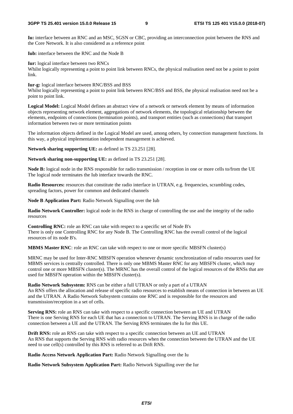**Iu:** interface between an RNC and an MSC, SGSN or CBC, providing an interconnection point between the RNS and the Core Network. It is also considered as a reference point

**Iub:** interface between the RNC and the Node B

**Iur:** logical interface between two RNCs

Whilst logically representing a point to point link between RNCs, the physical realisation need not be a point to point link.

**Iur-g:** logical interface between RNC/BSS and BSS Whilst logically representing a point to point link between RNC/BSS and BSS, the physical realisation need not be a point to point link.

**Logical Model:** Logical Model defines an abstract view of a network or network element by means of information objects representing network element, aggregations of network elements, the topological relationship between the elements, endpoints of connections (termination points), and transport entities (such as connections) that transport information between two or more termination points

The information objects defined in the Logical Model are used, among others, by connection management functions. In this way, a physical implementation independent management is achieved.

**Network sharing supporting UE:** as defined in TS 23.251 [28].

**Network sharing non-supporting UE:** as defined in TS 23.251 [28].

**Node B:** logical node in the RNS responsible for radio transmission / reception in one or more cells to/from the UE The logical node terminates the Iub interface towards the RNC.

**Radio Resources:** resources that constitute the radio interface in UTRAN, e.g. frequencies, scrambling codes, spreading factors, power for common and dedicated channels

**Node B Application Part:** Radio Network Signalling over the Iub

**Radio Network Controller:** logical node in the RNS in charge of controlling the use and the integrity of the radio resources

**Controlling RNC:** role an RNC can take with respect to a specific set of Node B's There is only one Controlling RNC for any Node B. The Controlling RNC has the overall control of the logical resources of its node B's.

**MBMS Master RNC**: role an RNC can take with respect to one or more specific MBSFN cluster(s)

MRNC may be used for Inter-RNC MBSFN operation whenever dynamic synchronization of radio resources used for MBMS services is centrally controlled. There is only one MBMS Master RNC for any MBSFN cluster, which may control one or more MBSFN cluster(s). The MRNC has the overall control of the logical resources of the RNSs that are used for MBSFN operation within the MBSFN cluster(s).

**Radio Network Subsystem:** RNS can be either a full UTRAN or only a part of a UTRAN An RNS offers the allocation and release of specific radio resources to establish means of connection in between an UE and the UTRAN. A Radio Network Subsystem contains one RNC and is responsible for the resources and transmission/reception in a set of cells.

**Serving RNS:** role an RNS can take with respect to a specific connection between an UE and UTRAN There is one Serving RNS for each UE that has a connection to UTRAN. The Serving RNS is in charge of the radio connection between a UE and the UTRAN. The Serving RNS terminates the Iu for this UE.

**Drift RNS:** role an RNS can take with respect to a specific connection between an UE and UTRAN An RNS that supports the Serving RNS with radio resources when the connection between the UTRAN and the UE need to use cell(s) controlled by this RNS is referred to as Drift RNS.

**Radio Access Network Application Part:** Radio Network Signalling over the Iu

**Radio Network Subsystem Application Part:** Radio Network Signalling over the Iur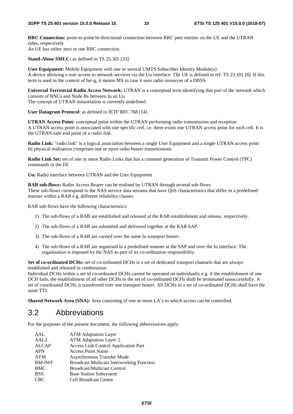**RRC Connection:** point-to-point bi-directional connection between RRC peer entities on the UE and the UTRAN sides, respectively An UE has either zero or one RRC connection.

**Stand-Alone SMLC:** as defined in TS 25.305 [33].

**User Equipment:** Mobile Equipment with one or several UMTS Subscriber Identity Module(s) A device allowing a user access to network services via the Uu interface. The UE is defined in ref. TS 23.101 [8]. If this term is used in the context of Iur-g, it means MS in case it uses radio resources of a DBSS.

**Universal Terrestrial Radio Access Network:** UTRAN is a conceptual term identifying that part of the network which consists of RNCs and Node Bs between Iu an Uu

The concept of UTRAN instantiation is currently undefined.

**User Datagram Protocol**: as defined in IETF RFC 768 [14].

**UTRAN Access Point:** conceptual point within the UTRAN performing radio transmission and reception A UTRAN access point is associated with one specific *cell*, i.e. there exists one UTRAN access point for each cell. It is the UTRAN-side end point of a *radio link*.

**Radio Link:** "radio link" is a logical association between a single User Equipment and a single UTRAN access point Its physical realisation comprises one or more radio bearer transmissions.

**Radio Link Set:** set of one or more Radio Links that has a common generation of Transmit Power Control (TPC) commands in the DL

**Uu:** Radio interface between UTRAN and the User Equipment

**RAB sub-flows:** Radio Access Bearer can be realised by UTRAN through several sub-flows These sub-flows correspond to the NAS service data streams that have QoS characteristics that differ in a predefined manner within a RAB e.g. different reliability classes.

RAB sub-flows have the following characteristics:

- 1) The sub-flows of a RAB are established and released at the RAB establishment and release, respectively.
- 2) The sub-flows of a RAB are submitted and delivered together at the RAB SAP.
- 3) The sub-flows of a RAB are carried over the same Iu transport bearer.
- 4) The sub-flows of a RAB are organised in a predefined manner at the SAP and over the Iu interface. The organisation is imposed by the NAS as part of its co-ordination responsibility.

**Set of co-ordinated DCHs:** set of co-ordinated DCHs is a set of dedicated transport channels that are always established and released in combination

Individual DCHs within a set of co-ordinated DCHs cannot be operated on individually e.g. if the establishment of one DCH fails, the establishment of all other DCHs in the set of co-ordinated DCHs shall be terminated unsuccessfully. A set of coordinated DCHs is transferred over one transport bearer. All DCHs in a set of co-ordinated DCHs shall have the same TTI.

**Shared Network Area (SNA):** Area consisting of one or more LA's to which access can be controlled.

## 3.2 Abbreviations

For the purposes of the present document, the following abbreviations apply:

| <b>ATM</b> Adaptation Layer                      |
|--------------------------------------------------|
| <b>ATM Adaptation Layer 2</b>                    |
| <b>Access Link Control Application Part</b>      |
| <b>Access Point Name</b>                         |
| Asynchronous Transfer Mode                       |
| <b>Broadcast Multicast Interworking Function</b> |
| <b>Broadcast/Multicast Control</b>               |
| <b>Base Station Subsystem</b>                    |
| <b>Cell Broadcast Centre</b>                     |
|                                                  |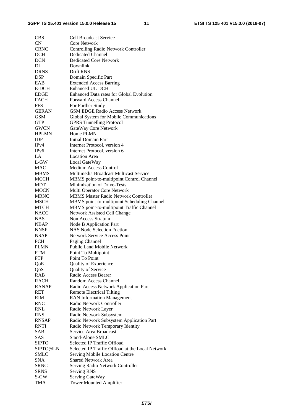| CBS                 | Cell Broadcast Service                                                   |
|---------------------|--------------------------------------------------------------------------|
| <b>CN</b>           | Core Network                                                             |
| <b>CRNC</b>         | <b>Controlling Radio Network Controller</b>                              |
| DCH                 | Dedicated Channel                                                        |
| <b>DCN</b>          | <b>Dedicated Core Network</b>                                            |
| DL                  | Downlink                                                                 |
| <b>DRNS</b>         | Drift RNS                                                                |
| <b>DSP</b>          | Domain Specific Part                                                     |
| EAB                 | <b>Extended Access Barring</b>                                           |
| E-DCH               | <b>Enhanced UL DCH</b>                                                   |
| <b>EDGE</b>         | <b>Enhanced Data rates for Global Evolution</b>                          |
| <b>FACH</b>         | <b>Forward Access Channel</b>                                            |
| <b>FFS</b>          | For Further Study                                                        |
| GERAN               | <b>GSM EDGE Radio Access Network</b>                                     |
| <b>GSM</b>          | Global System for Mobile Communications                                  |
| GTP                 | <b>GPRS</b> Tunnelling Protocol                                          |
| GWCN                | GateWay Core Network                                                     |
| <b>HPLMN</b>        | Home PLMN                                                                |
| <b>IDP</b>          | <b>Initial Domain Part</b>                                               |
| IPv4                | Internet Protocol, version 4                                             |
| IP <sub>v</sub> 6   | Internet Protocol, version 6                                             |
| LA                  | <b>Location Area</b>                                                     |
| $L$ GW $\,$         | Local GateWay                                                            |
| MAC                 | Medium Access Control                                                    |
| MBMS                | Multimedia Broadcast Multicast Service                                   |
| MCCH                | MBMS point-to-multipoint Control Channel                                 |
| MDT                 | <b>Minimization of Drive-Tests</b>                                       |
| <b>MOCN</b>         | Multi Operator Core Network                                              |
| MRNC                | <b>MBMS Master Radio Network Controller</b>                              |
| MSCH                |                                                                          |
| MTCH                | MBMS point-to-multipoint Scheduling Channel                              |
| <b>NACC</b>         | MBMS point-to-multipoint Traffic Channel<br>Network Assisted Cell Change |
| NAS                 | Non Access Stratum                                                       |
|                     |                                                                          |
| NBAP<br><b>NNSF</b> | Node B Application Part<br><b>NAS Node Selection Fuction</b>             |
| <b>NSAP</b>         | <b>Network Service Access Point</b>                                      |
| <b>PCH</b>          |                                                                          |
| <b>PLMN</b>         | Paging Channel<br><b>Public Land Mobile Network</b>                      |
| PTM                 | Point To Multipoint                                                      |
| PTP                 | Point To Point                                                           |
| QoE                 | <b>Quality of Experience</b>                                             |
| QoS                 |                                                                          |
| <b>RAB</b>          | <b>Quality of Service</b><br>Radio Access Bearer                         |
| <b>RACH</b>         | Random Access Channel                                                    |
| <b>RANAP</b>        | Radio Access Network Application Part                                    |
| RET                 |                                                                          |
| RIM                 | <b>Remote Electrical Tilting</b>                                         |
| <b>RNC</b>          | <b>RAN Information Management</b><br>Radio Network Controller            |
| <b>RNL</b>          | Radio Network Layer                                                      |
| RNS                 | Radio Network Subsystem                                                  |
| <b>RNSAP</b>        | Radio Network Subsystem Application Part                                 |
| <b>RNTI</b>         | Radio Network Temporary Identity                                         |
|                     | Service Area Broadcast                                                   |
| SAB<br>SAS          | <b>Stand-Alone SMLC</b>                                                  |
|                     | Selected IP Traffic Offload                                              |
| SIPTO               |                                                                          |
| SIPTO@LN<br>SMLC    | Selected IP Traffic Offload at the Local Network                         |
|                     | Serving Mobile Location Centre<br><b>Shared Network Area</b>             |
| SNA                 |                                                                          |
| <b>SRNC</b>         | Serving Radio Network Controller                                         |
| SRNS                | <b>Serving RNS</b>                                                       |
| S-GW                | Serving GateWay                                                          |
| TMA                 | <b>Tower Mounted Amplifier</b>                                           |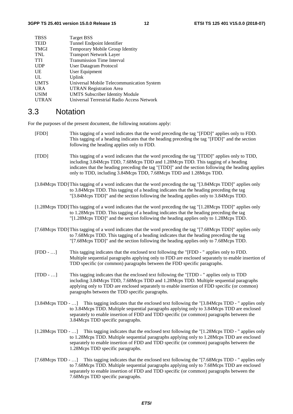| <b>TBSS</b>  | <b>Target BSS</b>                          |
|--------------|--------------------------------------------|
| <b>TEID</b>  | Tunnel Endpoint Identifier                 |
| <b>TMGI</b>  | Temporary Mobile Group Identity            |
| <b>TNL</b>   | <b>Transport Network Layer</b>             |
| <b>TTI</b>   | <b>Transmission Time Interval</b>          |
| <b>UDP</b>   | User Datagram Protocol                     |
| UE           | User Equipment                             |
| UL           | Uplink                                     |
| <b>UMTS</b>  | Universal Mobile Telecommunication System  |
| <b>URA</b>   | <b>UTRAN Registration Area</b>             |
| <b>USIM</b>  | <b>UMTS Subscriber Identity Module</b>     |
| <b>UTRAN</b> | Universal Terrestrial Radio Access Network |
|              |                                            |

## 3.3 Notation

For the purposes of the present document, the following notations apply:

- [FDD] This tagging of a word indicates that the word preceding the tag "[FDD]" applies only to FDD. This tagging of a heading indicates that the heading preceding the tag "[FDD]" and the section following the heading applies only to FDD.
- [TDD] This tagging of a word indicates that the word preceding the tag "[TDD]" applies only to TDD, including 3.84Mcps TDD, 7.68Mcps TDD and 1.28Mcps TDD. This tagging of a heading indicates that the heading preceding the tag "[TDD]" and the section following the heading applies only to TDD, including 3.84Mcps TDD, 7.68Mcps TDD and 1.28Mcps TDD.
- [3.84Mcps TDD] This tagging of a word indicates that the word preceding the tag "[3.84Mcps TDD]" applies only to 3.84Mcps TDD. This tagging of a heading indicates that the heading preceding the tag "[3.84Mcps TDD]" and the section following the heading applies only to 3.84Mcps TDD.
- [1.28Mcps TDD] This tagging of a word indicates that the word preceding the tag "[1.28Mcps TDD]" applies only to 1.28Mcps TDD. This tagging of a heading indicates that the heading preceding the tag "[1.28Mcps TDD]" and the section following the heading applies only to 1.28Mcps TDD.
- [7.68Mcps TDD] This tagging of a word indicates that the word preceding the tag "[7.68Mcps TDD]" applies only to 7.68Mcps TDD. This tagging of a heading indicates that the heading preceding the tag "[7.68Mcps TDD]" and the section following the heading applies only to 7.68Mcps TDD.
- [FDD …] This tagging indicates that the enclosed text following the "[FDD " applies only to FDD. Multiple sequential paragraphs applying only to FDD are enclosed separately to enable insertion of TDD specific (or common) paragraphs between the FDD specific paragraphs.
- [TDD …] This tagging indicates that the enclosed text following the "[TDD " applies only to TDD including 3.84Mcps TDD, 7.68Mcps TDD and 1.28Mcps TDD. Multiple sequential paragraphs applying only to TDD are enclosed separately to enable insertion of FDD specific (or common) paragraphs between the TDD specific paragraphs.
- [3.84Mcps TDD …] This tagging indicates that the enclosed text following the "[3.84Mcps TDD " applies only to 3.84Mcps TDD. Multiple sequential paragraphs applying only to 3.84Mcps TDD are enclosed separately to enable insertion of FDD and TDD specific (or common) paragraphs between the 3.84Mcps TDD specific paragraphs.
- [1.28Mcps TDD …] This tagging indicates that the enclosed text following the "[1.28Mcps TDD " applies only to 1.28Mcps TDD. Multiple sequential paragraphs applying only to 1.28Mcps TDD are enclosed separately to enable insertion of FDD and TDD specific (or common) paragraphs between the 1.28Mcps TDD specific paragraphs.
- [7.68Mcps TDD …] This tagging indicates that the enclosed text following the "[7.68Mcps TDD " applies only to 7.68Mcps TDD. Multiple sequential paragraphs applying only to 7.68Mcps TDD are enclosed separately to enable insertion of FDD and TDD specific (or common) paragraphs between the 7.68Mcps TDD specific paragraphs.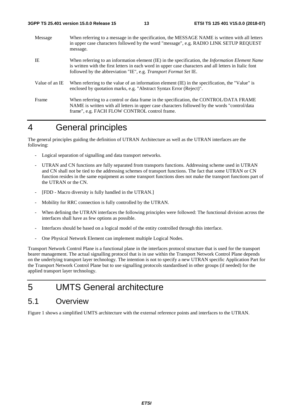**3GPP TS 25.401 version 15.0.0 Release 15 13 ETSI TS 125 401 V15.0.0 (2018-07)**

Message When referring to a message in the specification, the MESSAGE NAME is written with all letters in upper case characters followed by the word "message", e.g. RADIO LINK SETUP REQUEST message. IE When referring to an information element (IE) in the specification, the *Information Element Name* is written with the first letters in each word in upper case characters and all letters in Italic font followed by the abbreviation "IE", e.g. *Transport Format Set* IE. Value of an IE When referring to the value of an information element (IE) in the specification, the "Value" is enclosed by quotation marks, e.g. "Abstract Syntax Error (Reject)". Frame When referring to a control or data frame in the specification, the CONTROL/DATA FRAME NAME is written with all letters in upper case characters followed by the words "control/data frame", e.g. FACH FLOW CONTROL control frame.

## 4 General principles

The general principles guiding the definition of UTRAN Architecture as well as the UTRAN interfaces are the following:

- Logical separation of signalling and data transport networks.
- UTRAN and CN functions are fully separated from transports functions. Addressing scheme used in UTRAN and CN shall not be tied to the addressing schemes of transport functions. The fact that some UTRAN or CN function resides in the same equipment as some transport functions does not make the transport functions part of the UTRAN or the CN.
- [FDD Macro diversity is fully handled in the UTRAN.]
- Mobility for RRC connection is fully controlled by the UTRAN.
- When defining the UTRAN interfaces the following principles were followed: The functional division across the interfaces shall have as few options as possible.
- Interfaces should be based on a logical model of the entity controlled through this interface.
- One Physical Network Element can implement multiple Logical Nodes.

Transport Network Control Plane is a functional plane in the interfaces protocol structure that is used for the transport bearer management. The actual signalling protocol that is in use within the Transport Network Control Plane depends on the underlying transport layer technology. The intention is not to specify a new UTRAN specific Application Part for the Transport Network Control Plane but to use signalling protocols standardised in other groups (if needed) for the applied transport layer technology.

5 UMTS General architecture

## 5.1 Overview

Figure 1 shows a simplified UMTS architecture with the external reference points and interfaces to the UTRAN.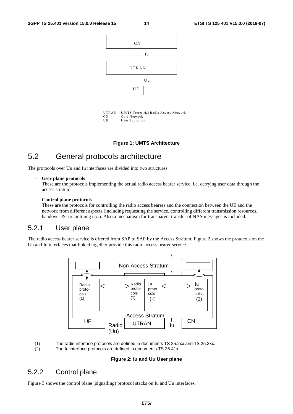

CN Core Network<br>UE User Equipme User Equipment

#### **Figure 1: UMTS Architecture**

## 5.2 General protocols architecture

The protocols over Uu and Iu interfaces are divided into two structures:

#### **- User plane protocols**

These are the protocols implementing the actual radio access bearer service, i.e. carrying user data through the access stratum.

#### **- Control plane protocols**

These are the protocols for controlling the radio access bearers and the connection between the UE and the network from different aspects (including requesting the service, controlling different transmission resources, handover & streamlining etc.). Also a mechanism for transparent transfer of NAS messages is included.

### 5.2.1 User plane

The radio access bearer service is offered from SAP to SAP by the Access Stratum. Figure 2 shows the protocols on the Uu and Iu interfaces that linked together provide this radio access bearer service.



(1) The radio interface protocols are defined in documents TS 25.2xx and TS 25.3xx.

(2) The Iu interface protocols are defined in documents TS 25.41x.

#### **Figure 2: Iu and Uu User plane**

### 5.2.2 Control plane

Figure 3 shows the control plane (signalling) protocol stacks on Iu and Uu interfaces.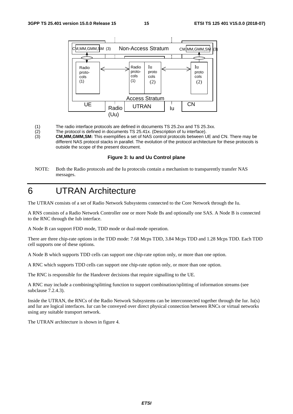

- 
- (1) The radio interface protocols are defined in documents TS 25.2xx and TS 25.3xx.<br>
(2) The protocol is defined in documents TS 25.41x. (Description of lu interface).<br> **CM,MM,GMM,SM:** This exemplifies a set of NAS control The protocol is defined in documents TS 25.41x. (Description of Iu interface).
- (3) **CM,MM,GMM,SM:** This exemplifies a set of NAS control protocols between UE and CN. There may be different NAS protocol stacks in parallel. The evolution of the protocol architecture for these protocols is outside the scope of the present document.

#### **Figure 3: Iu and Uu Control plane**

NOTE: Both the Radio protocols and the Iu protocols contain a mechanism to transparently transfer NAS messages.

## 6 UTRAN Architecture

The UTRAN consists of a set of Radio Network Subsystems connected to the Core Network through the Iu.

A RNS consists of a Radio Network Controller one or more Node Bs and optionally one SAS. A Node B is connected to the RNC through the Iub interface.

A Node B can support FDD mode, TDD mode or dual-mode operation.

There are three chip-rate options in the TDD mode: 7.68 Mcps TDD, 3.84 Mcps TDD and 1.28 Mcps TDD. Each TDD cell supports one of these options.

A Node B which supports TDD cells can support one chip-rate option only, or more than one option.

A RNC which supports TDD cells can support one chip-rate option only, or more than one option.

The RNC is responsible for the Handover decisions that require signalling to the UE.

A RNC may include a combining/splitting function to support combination/splitting of information streams (see subclause 7.2.4.3).

Inside the UTRAN, the RNCs of the Radio Network Subsystems can be interconnected together through the Iur. Iu(s) and Iur are logical interfaces. Iur can be conveyed over direct physical connection between RNCs or virtual networks using any suitable transport network.

The UTRAN architecture is shown in figure 4.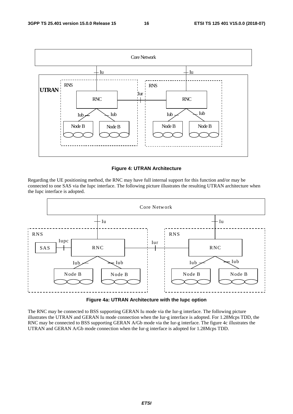

#### **Figure 4: UTRAN Architecture**

Regarding the UE positioning method, the RNC may have full internal support for this function and/or may be connected to one SAS via the Iupc interface. The following picture illustrates the resulting UTRAN architecture when the Iupc interface is adopted.



#### **Figure 4a: UTRAN Architecture with the Iupc option**

The RNC may be connected to BSS supporting GERAN Iu mode via the Iur-g interface. The following picture illustrates the UTRAN and GERAN Iu mode connection when the Iur-g interface is adopted. For 1.28Mcps TDD, the RNC may be connected to BSS supporting GERAN A/Gb mode via the Iur-g interface. The figure 4c illustrates the UTRAN and GERAN A/Gb mode connection when the Iur-g interface is adopted for 1.28Mcps TDD.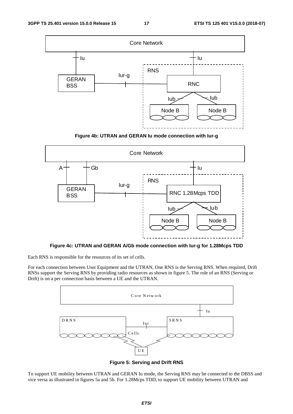

**Figure 4b: UTRAN and GERAN Iu mode connection with Iur-g** 



**Figure 4c: UTRAN and GERAN A/Gb mode connection with Iur-g for 1.28Mcps TDD** 

Each RNS is responsible for the resources of its set of cells.

For each connection between User Equipment and the UTRAN, One RNS is the Serving RNS. When required, Drift RNSs support the Serving RNS by providing radio resources as shown in figure 5. The role of an RNS (Serving or Drift) is on a per connection basis between a UE and the UTRAN.



**Figure 5: Serving and Drift RNS** 

To support UE mobility between UTRAN and GERAN Iu mode, the Serving RNS may be connected to the DBSS and vice versa as illustrated in figures 5a and 5b. For 1.28Mcps TDD, to support UE mobility between UTRAN and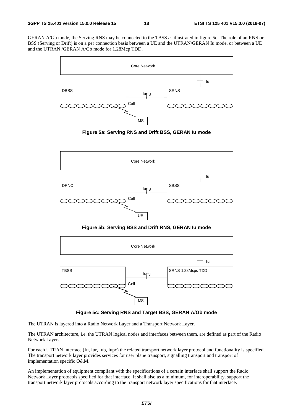GERAN A/Gb mode, the Serving RNS may be connected to the TBSS as illustrated in figure 5c. The role of an RNS or BSS (Serving or Drift) is on a per connection basis between a UE and the UTRAN/GERAN Iu mode, or between a UE and the UTRAN /GERAN A/Gb mode for 1.28Mcp TDD.



**Figure 5a: Serving RNS and Drift BSS, GERAN Iu mode** 



**Figure 5b: Serving BSS and Drift RNS, GERAN Iu mode** 



**Figure 5c: Serving RNS and Target BSS, GERAN A/Gb mode** 

The UTRAN is layered into a Radio Network Layer and a Transport Network Layer.

The UTRAN architecture, i.e. the UTRAN logical nodes and interfaces between them, are defined as part of the Radio Network Layer.

For each UTRAN interface (Iu, Iur, Iub, Iupc) the related transport network layer protocol and functionality is specified. The transport network layer provides services for user plane transport, signalling transport and transport of implementation specific O&M.

An implementation of equipment compliant with the specifications of a certain interface shall support the Radio Network Layer protocols specified for that interface. It shall also as a minimum, for interoperability, support the transport network layer protocols according to the transport network layer specifications for that interface.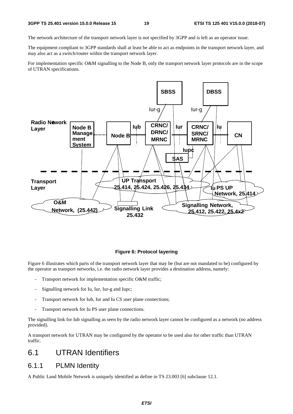The network architecture of the transport network layer is not specified by 3GPP and is left as an operator issue.

The equipment compliant to 3GPP standards shall at least be able to act as endpoints in the transport network layer, and may also act as a switch/router within the transport network layer.

For implementation specific O&M signalling to the Node B, only the transport network layer protocols are in the scope of UTRAN specifications.



#### **Figure 6: Protocol layering**

Figure 6 illustrates which parts of the transport network layer that may be (but are not mandated to be) configured by the operator as transport networks, i.e. the radio network layer provides a destination address, namely:

- Transport network for implementation specific O&M traffic;
- Signalling network for Iu, Iur, Iur-g and Iupc;
- Transport network for Iub, Iur and Iu CS user plane connections;
- Transport network for Iu PS user plane connections.

The signalling link for Iub signalling as seen by the radio network layer cannot be configured as a network (no address provided).

A transport network for UTRAN may be configured by the operator to be used also for other traffic than UTRAN traffic.

## 6.1 UTRAN Identifiers

### 6.1.1 PLMN Identity

A Public Land Mobile Network is uniquely identified as define in TS 23.003 [6] subclause 12.1.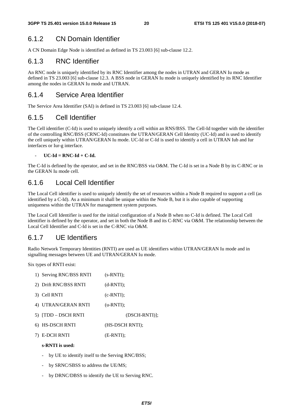## 6.1.2 CN Domain Identifier

A CN Domain Edge Node is identified as defined in TS 23.003 [6] sub-clause 12.2.

## 6.1.3 RNC Identifier

An RNC node is uniquely identified by its RNC Identifier among the nodes in UTRAN and GERAN Iu mode as defined in TS 23.003 [6] sub-clause 12.3. A BSS node in GERAN Iu mode is uniquely identified by its RNC Identifier among the nodes in GERAN Iu mode and UTRAN.

## 6.1.4 Service Area Identifier

The Service Area Identifier (SAI) is defined in TS 23.003 [6] sub-clause 12.4.

## 6.1.5 Cell Identifier

The Cell identifier (C-Id) is used to uniquely identify a cell within an RNS/BSS. The Cell-Id together with the identifier of the controlling RNC/BSS (CRNC-Id) constitutes the UTRAN/GERAN Cell Identity (UC-Id) and is used to identify the cell uniquely within UTRAN/GERAN Iu mode. UC-Id or C-Id is used to identify a cell in UTRAN Iub and Iur interfaces or Iur-g interface.

#### $\mathbf{U}\mathbf{C}\text{-}\mathbf{Id} = \mathbf{R}\mathbf{N}\mathbf{C}\text{-}\mathbf{Id} + \mathbf{C}\text{-}\mathbf{Id}.$

The C-Id is defined by the operator, and set in the RNC/BSS via O&M. The C-Id is set in a Node B by its C-RNC or in the GERAN Iu mode cell.

## 6.1.6 Local Cell Identifier

The Local Cell identifier is used to uniquely identify the set of resources within a Node B required to support a cell (as identified by a C-Id). As a minimum it shall be unique within the Node B, but it is also capable of supporting uniqueness within the UTRAN for management system purposes.

The Local Cell Identifier is used for the initial configuration of a Node B when no C-Id is defined. The Local Cell identifier is defined by the operator, and set in both the Node B and its C-RNC via O&M. The relationship between the Local Cell Identifier and C-Id is set in the C-RNC via O&M.

## 6.1.7 UE Identifiers

Radio Network Temporary Identities (RNTI) are used as UE identifiers within UTRAN/GERAN Iu mode and in signalling messages between UE and UTRAN/GERAN Iu mode.

Six types of RNTI exist:

|    | 1) Serving RNC/BSS RNTI | $(s-RNTI)$ :    |
|----|-------------------------|-----------------|
|    | 2) Drift RNC/BSS RNTI   | $(d-RNTI);$     |
|    | 3) Cell RNTI            | $(c-RNTI);$     |
|    | 4) UTRAN/GERAN RNTI     | $(u-RNTI)$ :    |
| 5) | [TDD – DSCH RNTI        | (DSCH-RNTI)];   |
| 6) | HS-DSCH RNTI            | (HS-DSCH RNTI): |
| 7) | <b>E-DCH RNTI</b>       | $(E-RNTI);$     |

#### **s-RNTI is used:**

- by UE to identify itself to the Serving RNC/BSS;
- by SRNC/SBSS to address the UE/MS;
- by DRNC/DBSS to identify the UE to Serving RNC.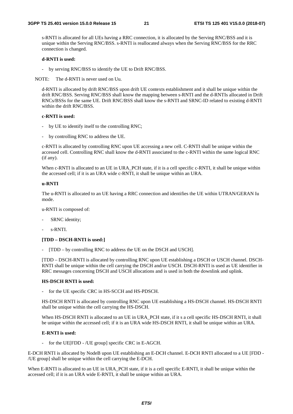s-RNTI is allocated for all UEs having a RRC connection, it is allocated by the Serving RNC/BSS and it is unique within the Serving RNC/BSS. s-RNTI is reallocated always when the Serving RNC/BSS for the RRC connection is changed.

#### **d-RNTI is used:**

- by serving RNC/BSS to identify the UE to Drift RNC/BSS.

NOTE: The d-RNTI is never used on Uu.

 d-RNTI is allocated by drift RNC/BSS upon drift UE contexts establishment and it shall be unique within the drift RNC/BSS. Serving RNC/BSS shall know the mapping between s-RNTI and the d-RNTIs allocated in Drift RNCs/BSSs for the same UE. Drift RNC/BSS shall know the s-RNTI and SRNC-ID related to existing d-RNTI within the drift RNC/BSS.

#### **c-RNTI is used:**

- by UE to identify itself to the controlling RNC;
- by controlling RNC to address the UE.

 c-RNTI is allocated by controlling RNC upon UE accessing a new cell. C-RNTI shall be unique within the accessed cell. Controlling RNC shall know the d-RNTI associated to the c-RNTI within the same logical RNC (if any).

When c-RNTI is allocated to an UE in URA\_PCH state, if it is a cell specific c-RNTI, it shall be unique within the accessed cell; if it is an URA wide c-RNTI, it shall be unique within an URA.

#### **u-RNTI**

The u-RNTI is allocated to an UE having a RRC connection and identifies the UE within UTRAN/GERAN Iu mode.

u-RNTI is composed of:

- SRNC identity;
- s-RNTI.

#### **[TDD – DSCH-RNTI is used:]**

- [TDD – by controlling RNC to address the UE on the DSCH and USCH].

 [TDD – DSCH-RNTI is allocated by controlling RNC upon UE establishing a DSCH or USCH channel. DSCH-RNTI shall be unique within the cell carrying the DSCH and/or USCH. DSCH-RNTI is used as UE identifier in RRC messages concerning DSCH and USCH allocations and is used in both the downlink and uplink.

#### **HS-DSCH RNTI is used:**

- for the UE specific CRC in HS-SCCH and HS-PDSCH.

HS-DSCH RNTI is allocated by controlling RNC upon UE establishing a HS-DSCH channel. HS-DSCH RNTI shall be unique within the cell carrying the HS-DSCH.

When HS-DSCH RNTI is allocated to an UE in URA PCH state, if it s a cell specific HS-DSCH RNTI, it shall be unique within the accessed cell; if it is an URA wide HS-DSCH RNTI, it shall be unique within an URA.

#### **E-RNTI is used:**

for the UE[FDD - /UE group] specific CRC in E-AGCH.

E-DCH RNTI is allocated by NodeB upon UE establishing an E-DCH channel. E-DCH RNTI allocated to a UE [FDD - /UE group] shall be unique within the cell carrying the E-DCH.

When E-RNTI is allocated to an UE in URA PCH state, if it is a cell specific E-RNTI, it shall be unique within the accessed cell; if it is an URA wide E-RNTI, it shall be unique within an URA.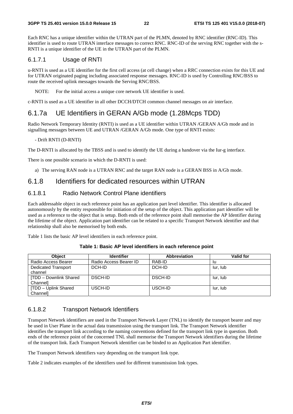Each RNC has a unique identifier within the UTRAN part of the PLMN, denoted by RNC identifier (RNC-ID). This identifier is used to route UTRAN interface messages to correct RNC. RNC-ID of the serving RNC together with the s-RNTI is a unique identifier of the UE in the UTRAN part of the PLMN.

#### 6.1.7.1 Usage of RNTI

u-RNTI is used as a UE identifier for the first cell access (at cell change) when a RRC connection exists for this UE and for UTRAN originated paging including associated response messages. RNC-ID is used by Controlling RNC/BSS to route the received uplink messages towards the Serving RNC/BSS.

NOTE: For the initial access a unique core network UE identifier is used.

c-RNTI is used as a UE identifier in all other DCCH/DTCH common channel messages on air interface.

## 6.1.7a UE Identifiers in GERAN A/Gb mode (1.28Mcps TDD)

Radio Network Temporary Identity (RNTI) is used as a UE identifier within UTRAN /GERAN A/Gb mode and in signalling messages between UE and UTRAN /GERAN A/Gb mode. One type of RNTI exists:

#### - Drift RNTI (D-RNTI)

The D-RNTI is allocated by the TBSS and is used to identify the UE during a handover via the Iur-g interface.

There is one possible scenario in which the D-RNTI is used:

a) The serving RAN node is a UTRAN RNC and the target RAN node is a GERAN BSS in A/Gb mode.

### 6.1.8 Identifiers for dedicated resources within UTRAN

### 6.1.8.1 Radio Network Control Plane identifiers

Each addressable object in each reference point has an application part level identifier. This identifier is allocated autonomously by the entity responsible for initiation of the setup of the object. This application part identifier will be used as a reference to the object that is setup. Both ends of the reference point shall memorise the AP Identifier during the lifetime of the object. Application part identifier can be related to a specific Transport Network identifier and that relationship shall also be memorised by both ends.

Table 1 lists the basic AP level identifiers in each reference point.

| <b>Object</b>              | <b>Identifier</b>      | <b>Abbreviation</b> | Valid for |  |  |
|----------------------------|------------------------|---------------------|-----------|--|--|
| Radio Access Bearer        | Radio Access Bearer ID | RAB-ID              | lu        |  |  |
| <b>Dedicated Transport</b> | DCH-ID                 | DCH-ID              | lur. lub  |  |  |
| channel                    |                        |                     |           |  |  |
| [TDD - Downlink Shared     | DSCH-ID                | DSCH-ID             | lur. lub  |  |  |
| Channell                   |                        |                     |           |  |  |
| [TDD - Uplink Shared       | USCH-ID                | USCH-ID             | lur. lub  |  |  |
| Channell                   |                        |                     |           |  |  |

#### **Table 1: Basic AP level identifiers in each reference point**

#### 6.1.8.2 Transport Network Identifiers

Transport Network identifiers are used in the Transport Network Layer (TNL) to identify the transport bearer and may be used in User Plane in the actual data transmission using the transport link. The Transport Network identifier identifies the transport link according to the naming conventions defined for the transport link type in question. Both ends of the reference point of the concerned TNL shall memorise the Transport Network identifiers during the lifetime of the transport link. Each Transport Network identifier can be binded to an Application Part identifier.

The Transport Network identifiers vary depending on the transport link type.

Table 2 indicates examples of the identifiers used for different transmission link types.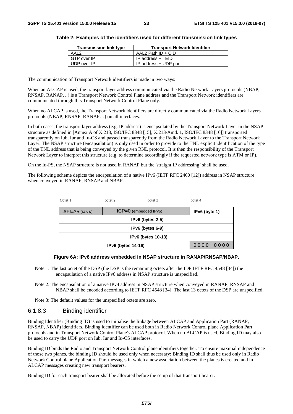| <b>Transmission link type</b> | <b>Transport Network Identifier</b> |  |  |
|-------------------------------|-------------------------------------|--|--|
| AAL 2                         | AAL2 Path ID + CID                  |  |  |
| GTP over IP                   | IP address + TEID                   |  |  |
| UDP over IP                   | IP address + UDP port               |  |  |

#### **Table 2: Examples of the identifiers used for different transmission link types**

The communication of Transport Network identifiers is made in two ways:

When an ALCAP is used, the transport layer address communicated via the Radio Network Layers protocols (NBAP, RNSAP, RANAP…) is a Transport Network Control Plane address and the Transport Network identifiers are communicated through this Transport Network Control Plane only.

When no ALCAP is used, the Transport Network identifiers are directly communicated via the Radio Network Layers protocols (NBAP, RNSAP, RANAP…) on all interfaces.

In both cases, the transport layer address (e.g. IP address) is encapsulated by the Transport Network Layer in the NSAP structure as defined in [Annex A of X.213, ISO/IEC 8348 [15], X.213/Amd. 1, ISO/IEC 8348 [16]] transported transparently on Iub, Iur and Iu-CS and passed transparently from the Radio Network Layer to the Transport Network Layer. The NSAP structure (encapsulation) is only used in order to provide to the TNL explicit identification of the type of the TNL address that is being conveyed by the given RNL protocol. It is then the responsibility of the Transport Network Layer to interpret this structure (e.g. to determine accordingly if the requested network type is ATM or IP).

On the Iu-PS, the NSAP structure is not used in RANAP but the 'straight IP addressing' shall be used.

The following scheme depicts the encapsulation of a native IPv6 (IETF RFC 2460 [12]) address in NSAP structure when conveyed in RANAP, RNSAP and NBAP.

| Octet 1                           | octet <sub>2</sub> | octet 3                 |  | octet 4         |        |  |  |
|-----------------------------------|--------------------|-------------------------|--|-----------------|--------|--|--|
| $AFI=35$ (IANA)                   |                    | $ICP=0$ (embedded IPv6) |  | $IPv6$ (byte 1) |        |  |  |
| $IPv6$ (bytes 2-5)                |                    |                         |  |                 |        |  |  |
| $IPv6$ (bytes $6-9$ )             |                    |                         |  |                 |        |  |  |
| <b>IPv6 (bytes 10-13)</b>         |                    |                         |  |                 |        |  |  |
| 0000<br><b>IPv6 (bytes 14-16)</b> |                    |                         |  |                 | $0000$ |  |  |

#### **Figure 6A: IPv6 address embedded in NSAP structure in RANAP/RNSAP/NBAP.**

Note 1: The last octet of the DSP (the DSP is the remaining octets after the IDP IETF RFC 4548 [34]) the encapsulation of a native IPv6 address in NSAP structure is unspecified.

Note 2: The encapsulation of a native IPv4 address in NSAP structure when conveyed in RANAP, RNSAP and NBAP shall be encoded according to IETF RFC 4548 [34]. The last 13 octets of the DSP are unspecified.

Note 3: The default values for the unspecified octets are zero.

#### 6.1.8.3 Binding identifier

Binding Identifier (Binding ID) is used to initialise the linkage between ALCAP and Application Part (RANAP, RNSAP, NBAP) identifiers. Binding identifier can be used both in Radio Network Control plane Application Part protocols and in Transport Network Control Plane's ALCAP protocol. When no ALCAP is used, Binding ID may also be used to carry the UDP port on Iub, Iur and Iu-CS interfaces.

Binding ID binds the Radio and Transport Network Control plane identifiers together. To ensure maximal independence of those two planes, the binding ID should be used only when necessary: Binding ID shall thus be used only in Radio Network Control plane Application Part messages in which a new association between the planes is created and in ALCAP messages creating new transport bearers.

Binding ID for each transport bearer shall be allocated before the setup of that transport bearer.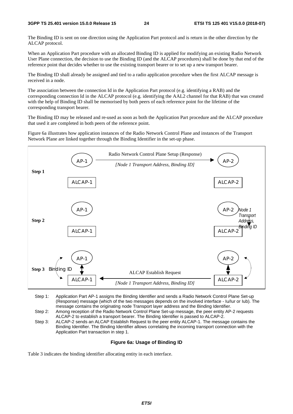The Binding ID is sent on one direction using the Application Part protocol and is return in the other direction by the ALCAP protocol.

When an Application Part procedure with an allocated Binding ID is applied for modifying an existing Radio Network User Plane connection, the decision to use the Binding ID (and the ALCAP procedures) shall be done by that end of the reference point that decides whether to use the existing transport bearer or to set up a new transport bearer.

The Binding ID shall already be assigned and tied to a radio application procedure when the first ALCAP message is received in a node.

The association between the connection Id in the Application Part protocol (e.g. identifying a RAB) and the corresponding connection Id in the ALCAP protocol (e.g. identifying the AAL2 channel for that RAB) that was created with the help of Binding ID shall be memorised by both peers of each reference point for the lifetime of the corresponding transport bearer.

The Binding ID may be released and re-used as soon as both the Application Part procedure and the ALCAP procedure that used it are completed in both peers of the reference point.

Figure 6a illustrates how application instances of the Radio Network Control Plane and instances of the Transport Network Plane are linked together through the Binding Identifier in the set-up phase.



Step 1: Application Part AP-1 assigns the Binding Identifier and sends a Radio Network Control Plane Set-up (Response) message (which of the two messages depends on the involved interface - Iu/Iur or Iub). The message contains the originating node Transport layer address and the Binding Identifier.

Step 2: Among reception of the Radio Network Control Plane Set-up message, the peer entity AP-2 requests ALCAP-2 to establish a transport bearer. The Binding Identifier is passed to ALCAP-2.

Step 3: ALCAP-2 sends an ALCAP Establish Request to the peer entity ALCAP-1. The message contains the Binding Identifier. The Binding Identifier allows correlating the incoming transport connection with the Application Part transaction in step 1.

#### **Figure 6a: Usage of Binding ID**

Table 3 indicates the binding identifier allocating entity in each interface.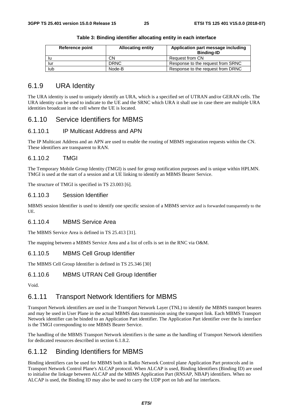| <b>Reference point</b> | <b>Allocating entity</b> | Application part message including<br><b>Binding-ID</b> |
|------------------------|--------------------------|---------------------------------------------------------|
|                        | CΝ                       | <b>Request from CN</b>                                  |
| lur                    | <b>DRNC</b>              | Response to the request from SRNC                       |
| lub                    | Node-B                   | Response to the request from DRNC                       |

#### **Table 3: Binding identifier allocating entity in each interface**

## 6.1.9 URA Identity

The URA identity is used to uniquely identify an URA, which is a specified set of UTRAN and/or GERAN cells. The URA identity can be used to indicate to the UE and the SRNC which URA it shall use in case there are multiple URA identities broadcast in the cell where the UE is located.

### 6.1.10 Service Identifiers for MBMS

#### 6.1.10.1 IP Multicast Address and APN

The IP Multicast Address and an APN are used to enable the routing of MBMS registration requests within the CN. These identifiers are transparent to RAN.

#### 6.1.10.2 TMGI

The Temporary Mobile Group Identity (TMGI) is used for group notification purposes and is unique within HPLMN. TMGI is used at the start of a session and at UE linking to identify an MBMS Bearer Service.

The structure of TMGI is specified in TS 23.003 [6].

#### 6.1.10.3 Session Identifier

MBMS session Identifier is used to identify one specific session of a MBMS service and is forwarded transparently to the UE.

#### 6.1.10.4 MBMS Service Area

The MBMS Service Area is defined in TS 25.413 [31].

The mapping between a MBMS Service Area and a list of cells is set in the RNC via O&M.

#### 6.1.10.5 MBMS Cell Group Identifier

The MBMS Cell Group Identifier is defined in TS 25.346 [30]

#### 6.1.10.6 MBMS UTRAN Cell Group Identifier

Void.

### 6.1.11 Transport Network Identifiers for MBMS

Transport Network identifiers are used in the Transport Network Layer (TNL) to identify the MBMS transport bearers and may be used in User Plane in the actual MBMS data transmission using the transport link. Each MBMS Transport Network identifier can be binded to an Application Part identifier. The Application Part identifier over the Iu interface is the TMGI corresponding to one MBMS Bearer Service.

The handling of the MBMS Transport Network identifiers is the same as the handling of Transport Network identifiers for dedicated resources described in section 6.1.8.2.

## 6.1.12 Binding Identifiers for MBMS

Binding identifiers can be used for MBMS both in Radio Network Control plane Application Part protocols and in Transport Network Control Plane's ALCAP protocol. When ALCAP is used, Binding Identifiers (Binding ID) are used to initialise the linkage between ALCAP and the MBMS Application Part (RNSAP, NBAP) identifiers. When no ALCAP is used, the Binding ID may also be used to carry the UDP port on Iub and Iur interfaces.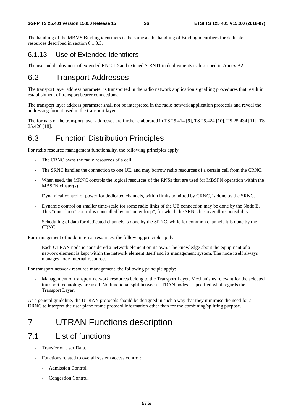The handling of the MBMS Binding identifiers is the same as the handling of Binding identifiers for dedicated resources described in section 6.1.8.3.

## 6.1.13 Use of Extended Identifiers

The use and deployment of extended RNC-ID and extened S-RNTI in deployments is described in Annex A2.

## 6.2 Transport Addresses

The transport layer address parameter is transported in the radio network application signalling procedures that result in establishment of transport bearer connections.

The transport layer address parameter shall not be interpreted in the radio network application protocols and reveal the addressing format used in the transport layer.

The formats of the transport layer addresses are further elaborated in TS 25.414 [9], TS 25.424 [10], TS 25.434 [11], TS 25.426 [18].

## 6.3 Function Distribution Principles

For radio resource management functionality, the following principles apply:

- The CRNC owns the radio resources of a cell.
- The SRNC handles the connection to one UE, and may borrow radio resources of a certain cell from the CRNC.
- When used, the MRNC controls the logical resources of the RNSs that are used for MBSFN operation within the MBSFN cluster(s).

Dynamical control of power for dedicated channels, within limits admitted by CRNC, is done by the SRNC.

- Dynamic control on smaller time-scale for some radio links of the UE connection may be done by the Node B. This "inner loop" control is controlled by an "outer loop", for which the SRNC has overall responsibility.
- Scheduling of data for dedicated channels is done by the SRNC, while for common channels it is done by the CRNC.

For management of node-internal resources, the following principle apply:

Each UTRAN node is considered a network element on its own. The knowledge about the equipment of a network element is kept within the network element itself and its management system. The node itself always manages node-internal resources.

For transport network resource management, the following principle apply:

- Management of transport network resources belong to the Transport Layer. Mechanisms relevant for the selected transport technology are used. No functional split between UTRAN nodes is specified what regards the Transport Layer.

As a general guideline, the UTRAN protocols should be designed in such a way that they minimise the need for a DRNC to interpret the user plane frame protocol information other than for the combining/splitting purpose.

## 7 UTRAN Functions description

## 7.1 List of functions

- Transfer of User Data.
- Functions related to overall system access control:
	- Admission Control;
	- Congestion Control;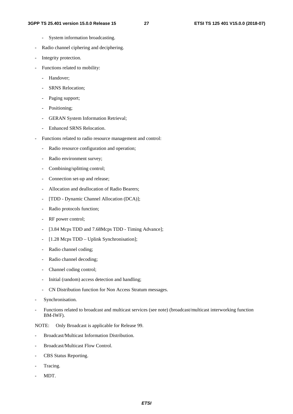- System information broadcasting.
- Radio channel ciphering and deciphering.
- Integrity protection.
- Functions related to mobility:
	- Handover;
	- SRNS Relocation;
	- Paging support;
	- Positioning;
	- GERAN System Information Retrieval;
	- Enhanced SRNS Relocation.
- Functions related to radio resource management and control:
	- Radio resource configuration and operation;
	- Radio environment survey;
	- Combining/splitting control;
	- Connection set-up and release;
	- Allocation and deallocation of Radio Bearers;
	- [TDD Dynamic Channel Allocation (DCA)];
	- Radio protocols function;
	- RF power control;
	- [3.84 Mcps TDD and 7.68Mcps TDD Timing Advance];
	- [1.28 Mcps TDD Uplink Synchronisation];
	- Radio channel coding;
	- Radio channel decoding;
	- Channel coding control;
	- Initial (random) access detection and handling;
	- CN Distribution function for Non Access Stratum messages.
- Synchronisation.
- Functions related to broadcast and multicast services (see note) (broadcast/multicast interworking function BM-IWF).
- NOTE: Only Broadcast is applicable for Release 99.
- Broadcast/Multicast Information Distribution.
- Broadcast/Multicast Flow Control.
- CBS Status Reporting.
- Tracing.
- MDT.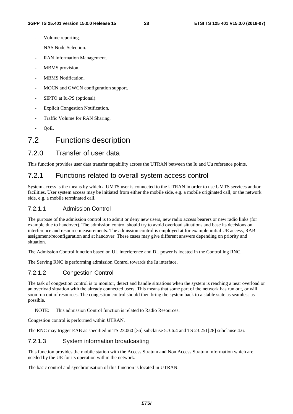- Volume reporting.
- NAS Node Selection.
- RAN Information Management.
- MBMS provision.
- MBMS Notification.
- MOCN and GWCN configuration support.
- SIPTO at Iu-PS (optional).
- Explicit Congestion Notification.
- Traffic Volume for RAN Sharing.
- OoE.

## 7.2 Functions description

### 7.2.0 Transfer of user data

This function provides user data transfer capability across the UTRAN between the Iu and Uu reference points.

### 7.2.1 Functions related to overall system access control

System access is the means by which a UMTS user is connected to the UTRAN in order to use UMTS services and/or facilities. User system access may be initiated from either the mobile side, e.g. a mobile originated call, or the network side, e.g. a mobile terminated call.

#### 7.2.1.1 Admission Control

The purpose of the admission control is to admit or deny new users, new radio access bearers or new radio links (for example due to handover). The admission control should try to avoid overload situations and base its decisions on interference and resource measurements. The admission control is employed at for example initial UE access, RAB assignment/reconfiguration and at handover. These cases may give different answers depending on priority and situation.

The Admission Control function based on UL interference and DL power is located in the Controlling RNC.

The Serving RNC is performing admission Control towards the Iu interface.

### 7.2.1.2 Congestion Control

The task of congestion control is to monitor, detect and handle situations when the system is reaching a near overload or an overload situation with the already connected users. This means that some part of the network has run out, or will soon run out of resources. The congestion control should then bring the system back to a stable state as seamless as possible.

NOTE: This admission Control function is related to Radio Resources.

Congestion control is performed within UTRAN.

The RNC may trigger EAB as specified in TS 23.060 [36] subclause 5.3.6.4 and TS 23.251[28] subclause 4.6.

### 7.2.1.3 System information broadcasting

This function provides the mobile station with the Access Stratum and Non Access Stratum information which are needed by the UE for its operation within the network.

The basic control and synchronisation of this function is located in UTRAN.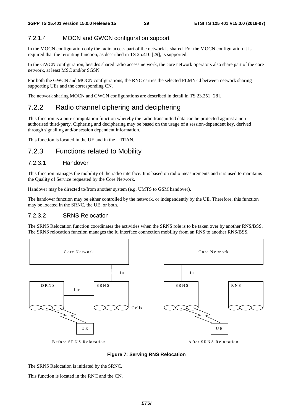### 7.2.1.4 MOCN and GWCN configuration support

In the MOCN configuration only the radio access part of the network is shared. For the MOCN configuration it is required that the rerouting function, as described in TS 25.410 [29], is supported.

In the GWCN configuration, besides shared radio access network, the core network operators also share part of the core network, at least MSC and/or SGSN.

For both the GWCN and MOCN configurations, the RNC carries the selected PLMN-id between network sharing supporting UEs and the corresponding CN.

The network sharing MOCN and GWCN configurations are described in detail in TS 23.251 [28].

## 7.2.2 Radio channel ciphering and deciphering

This function is a pure computation function whereby the radio transmitted data can be protected against a nonauthorised third-party. Ciphering and deciphering may be based on the usage of a session-dependent key, derived through signalling and/or session dependent information.

This function is located in the UE and in the UTRAN.

## 7.2.3 Functions related to Mobility

#### 7.2.3.1 Handover

This function manages the mobility of the radio interface. It is based on radio measurements and it is used to maintains the Quality of Service requested by the Core Network.

Handover may be directed to/from another system (e.g. UMTS to GSM handover).

The handover function may be either controlled by the network, or independently by the UE. Therefore, this function may be located in the SRNC, the UE, or both.

#### 7.2.3.2 SRNS Relocation

The SRNS Relocation function coordinates the activities when the SRNS role is to be taken over by another RNS/BSS. The SRNS relocation function manages the Iu interface connection mobility from an RNS to another RNS/BSS.



**Figure 7: Serving RNS Relocation** 

The SRNS Relocation is initiated by the SRNC.

This function is located in the RNC and the CN.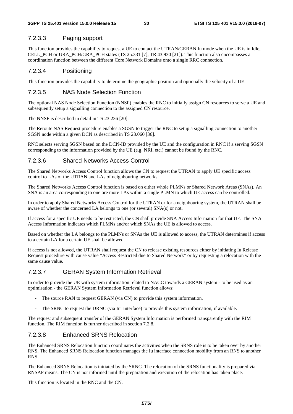### 7.2.3.3 Paging support

This function provides the capability to request a UE to contact the UTRAN/GERAN Iu mode when the UE is in Idle, CELL\_PCH or URA\_PCH/GRA\_PCH states (TS 25.331 [7], TR 43.930 [21]). This function also encompasses a coordination function between the different Core Network Domains onto a single RRC connection.

#### 7.2.3.4 Positioning

This function provides the capability to determine the geographic position and optionally the velocity of a UE.

#### 7.2.3.5 NAS Node Selection Function

The optional NAS Node Selection Function (NNSF) enables the RNC to initially assign CN resources to serve a UE and subsequently setup a signalling connection to the assigned CN resource.

The NNSF is described in detail in TS 23.236 [20].

The Reroute NAS Request procedure enables a SGSN to trigger the RNC to setup a signalling connection to another SGSN node within a given DCN as described in TS 23.060 [36].

RNC selects serving SGSN based on the DCN-ID provided by the UE and the configuration in RNC if a serving SGSN corresponding to the information provided by the UE (e.g. NRI, etc.) cannot be found by the RNC.

### 7.2.3.6 Shared Networks Access Control

The Shared Networks Access Control function allows the CN to request the UTRAN to apply UE specific access control to LAs of the UTRAN and LAs of neighbouring networks.

The Shared Networks Access Control function is based on either whole PLMNs or Shared Network Areas (SNAs). An SNA is an area corresponding to one ore more LAs within a single PLMN to which UE access can be controlled.

In order to apply Shared Networks Access Control for the UTRAN or for a neighbouring system, the UTRAN shall be aware of whether the concerned LA belongs to one (or several) SNA(s) or not.

If access for a specific UE needs to be restricted, the CN shall provide SNA Access Information for that UE. The SNA Access Information indicates which PLMNs and/or which SNAs the UE is allowed to access.

Based on whether the LA belongs to the PLMNs or SNAs the UE is allowed to access, the UTRAN determines if access to a certain LA for a certain UE shall be allowed.

If access is not allowed, the UTRAN shall request the CN to release existing resources either by initiating Iu Release Request procedure with cause value "Access Restricted due to Shared Network" or by requesting a relocation with the same cause value.

#### 7.2.3.7 GERAN System Information Retrieval

In order to provide the UE with system information related to NACC towards a GERAN system - to be used as an optimisation - the GERAN System Information Retrieval function allows:

- The source RAN to request GERAN (via CN) to provide this system information.
- The SRNC to request the DRNC (via Iur interface) to provide this system information, if available.

The request and subsequent transfer of the GERAN System Information is performed transparently with the RIM function. The RIM function is further described in section 7.2.8.

#### 7.2.3.8 Enhanced SRNS Relocation

The Enhanced SRNS Relocation function coordinates the activities when the SRNS role is to be taken over by another RNS. The Enhanced SRNS Relocation function manages the Iu interface connection mobility from an RNS to another RNS.

The Enhanced SRNS Relocation is initiated by the SRNC. The relocation of the SRNS functionality is prepared via RNSAP means. The CN is not informed until the preparation and execution of the relocation has taken place.

This function is located in the RNC and the CN.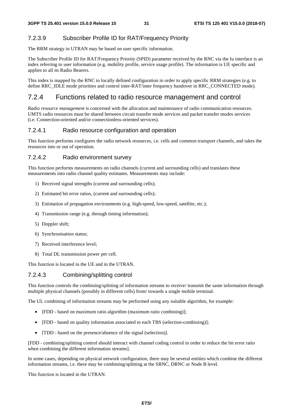### 7.2.3.9 Subscriber Profile ID for RAT/Frequency Priority

The RRM strategy in UTRAN may be based on user specific information.

The Subscriber Profile ID for RAT/Frequency Priority (SPID) parameter received by the RNC via the Iu interface is an index referring to user information (e.g. mobility profile, service usage profile). The information is UE specific and applies to all its Radio Bearers.

This index is mapped by the RNC to locally defined configuration in order to apply specific RRM strategies (e.g. to define RRC\_IDLE mode priorities and control inter-RAT/inter frequency handover in RRC\_CONNECTED mode).

## 7.2.4 Functions related to radio resource management and control

*Radio resource management* is concerned with the allocation and maintenance of radio communication resources. UMTS radio resources must be shared between circuit transfer mode services and packet transfer modes services (i.e. Connection-oriented and/or connectionless-oriented services).

#### 7.2.4.1 Radio resource configuration and operation

This function performs configures the radio network resources, i.e. cells and common transport channels, and takes the resources into or out of operation.

#### 7.2.4.2 Radio environment survey

This function performs measurements on radio channels (current and surrounding cells) and translates these measurements into radio channel quality estimates. Measurements may include:

- 1) Received signal strengths (current and surrounding cells);
- 2) Estimated bit error ratios, (current and surrounding cells);
- 3) Estimation of propagation environments (e.g. high-speed, low-speed, satellite, etc.);
- 4) Transmission range (e.g. through timing information);
- 5) Doppler shift;
- 6) Synchronisation status;
- 7) Received interference level;
- 8) Total DL transmission power per cell.

This function is located in the UE and in the UTRAN.

#### 7.2.4.3 Combining/splitting control

This function controls the combining/splitting of information streams to receive/ transmit the same information through multiple physical channels (possibly in different cells) from/ towards a single mobile terminal.

The UL combining of information streams may be performed using any suitable algorithm, for example:

- [FDD based on maximum ratio algorithm (maximum ratio combining)];
- [FDD based on quality information associated to each TBS (selection-combining)];
- [TDD based on the presence/absence of the signal (selection)].

[FDD - combining/splitting control should interact with channel coding control in order to reduce the bit error ratio when combining the different information streams].

In some cases, depending on physical network configuration, there may be several entities which combine the different information streams, i.e. there may be combining/splitting at the SRNC, DRNC or Node B level.

This function is located in the UTRAN.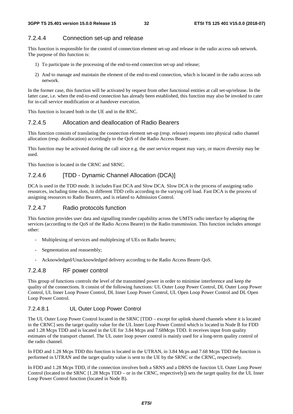#### 7.2.4.4 Connection set-up and release

This function is responsible for the control of connection element set-up and release in the radio access sub network. The purpose of this function is:

- 1) To participate in the processing of the end-to-end connection set-up and release;
- 2) And to manage and maintain the element of the end-to-end connection, which is located in the radio access sub network.

In the former case, this function will be activated by request from other functional entities at call set-up/release. In the latter case, i.e. when the end-to-end connection has already been established, this function may also be invoked to cater for in-call service modification or at handover execution.

This function is located both in the UE and in the RNC.

#### 7.2.4.5 Allocation and deallocation of Radio Bearers

This function consists of translating the connection element set-up (resp. release) requests into physical radio channel allocation (resp. deallocation) accordingly to the QoS of the Radio Access Bearer.

This function may be activated during the call since e.g. the user service request may vary, or macro diversity may be used.

This function is located in the CRNC and SRNC.

#### 7.2.4.6 [TDD - Dynamic Channel Allocation (DCA)]

DCA is used in the TDD mode. It includes Fast DCA and Slow DCA. Slow DCA is the process of assigning radio resources, including time slots, to different TDD cells according to the varying cell load. Fast DCA is the process of assigning resources to Radio Bearers, and is related to Admission Control.

#### 7.2.4.7 Radio protocols function

This function provides user data and signalling transfer capability across the UMTS radio interface by adapting the services (according to the QoS of the Radio Access Bearer) to the Radio transmission. This function includes amongst other:

- Multiplexing of services and multiplexing of UEs on Radio bearers;
- Segmentation and reassembly;
- Acknowledged/Unacknowledged delivery according to the Radio Access Bearer QoS.

#### 7.2.4.8 RF power control

This group of functions controls the level of the transmitted power in order to minimise interference and keep the quality of the connections. It consist of the following functions: UL Outer Loop Power Control, DL Outer Loop Power Control, UL Inner Loop Power Control, DL Inner Loop Power Control, UL Open Loop Power Control and DL Open Loop Power Control.

#### 7.2.4.8.1 UL Outer Loop Power Control

The UL Outer Loop Power Control located in the SRNC [TDD – except for uplink shared channels where it is located in the CRNC] sets the target quality value for the UL Inner Loop Power Control which is located in Node B for FDD and 1.28 Mcps TDD and is located in the UE for 3.84 Mcps and 7.68Mcps TDD. It receives input from quality estimates of the transport channel. The UL outer loop power control is mainly used for a long-term quality control of the radio channel.

In FDD and 1.28 Mcps TDD this function is located in the UTRAN, in 3.84 Mcps and 7.68 Mcps TDD the function is performed in UTRAN and the target quality value is sent to the UE by the SRNC or the CRNC, respectively.

In FDD and 1.28 Mcps TDD, if the connection involves both a SRNS and a DRNS the function UL Outer Loop Power Control (located in the SRNC [1.28 Mcps TDD – or in the CRNC, respectively]) sets the target quality for the UL Inner Loop Power Control function (located in Node B).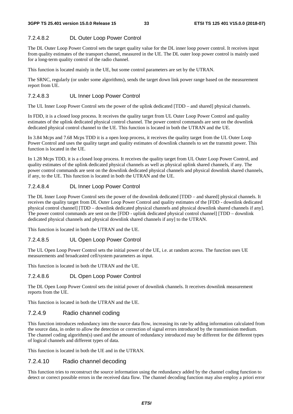#### 7.2.4.8.2 DL Outer Loop Power Control

The DL Outer Loop Power Control sets the target quality value for the DL inner loop power control. It receives input from quality estimates of the transport channel, measured in the UE. The DL outer loop power control is mainly used for a long-term quality control of the radio channel.

This function is located mainly in the UE, but some control parameters are set by the UTRAN.

The SRNC, regularly (or under some algorithms), sends the target down link power range based on the measurement report from UE.

#### 7.2.4.8.3 UL Inner Loop Power Control

The UL Inner Loop Power Control sets the power of the uplink dedicated [TDD – and shared] physical channels.

In FDD, it is a closed loop process. It receives the quality target from UL Outer Loop Power Control and quality estimates of the uplink dedicated physical control channel. The power control commands are sent on the downlink dedicated physical control channel to the UE. This function is located in both the UTRAN and the UE.

In 3.84 Mcps and 7.68 Mcps TDD it is a open loop process, it receives the quality target from the UL Outer Loop Power Control and uses the quality target and quality estimates of downlink channels to set the transmit power. This function is located in the UE.

In 1.28 Mcps TDD, it is a closed loop process. It receives the quality target from UL Outer Loop Power Control, and quality estimates of the uplink dedicated physical channels as well as physical uplink shared channels, if any. The power control commands are sent on the downlink dedicated physical channels and physical downlink shared channels, if any, to the UE. This function is located in both the UTRAN and the UE.

#### 7.2.4.8.4 DL Inner Loop Power Control

The DL Inner Loop Power Control sets the power of the downlink dedicated [TDD – and shared] physical channels. It receives the quality target from DL Outer Loop Power Control and quality estimates of the [FDD - downlink dedicated physical control channel] [TDD – downlink dedicated physical channels and physical downlink shared channels if any]. The power control commands are sent on the [FDD - uplink dedicated physical control channel] [TDD – downlink dedicated physical channels and physical downlink shared channels if any] to the UTRAN.

This function is located in both the UTRAN and the UE.

#### 7.2.4.8.5 UL Open Loop Power Control

The UL Open Loop Power Control sets the initial power of the UE, i.e. at random access. The function uses UE measurements and broadcasted cell/system parameters as input.

This function is located in both the UTRAN and the UE.

#### 7.2.4.8.6 DL Open Loop Power Control

The DL Open Loop Power Control sets the initial power of downlink channels. It receives downlink measurement reports from the UE.

This function is located in both the UTRAN and the UE.

#### 7.2.4.9 Radio channel coding

This function introduces redundancy into the source data flow, increasing its rate by adding information calculated from the source data, in order to allow the detection or correction of signal errors introduced by the transmission medium. The channel coding algorithm(s) used and the amount of redundancy introduced may be different for the different types of logical channels and different types of data.

This function is located in both the UE and in the UTRAN.

#### 7.2.4.10 Radio channel decoding

This function tries to reconstruct the source information using the redundancy added by the channel coding function to detect or correct possible errors in the received data flow. The channel decoding function may also employ a priori error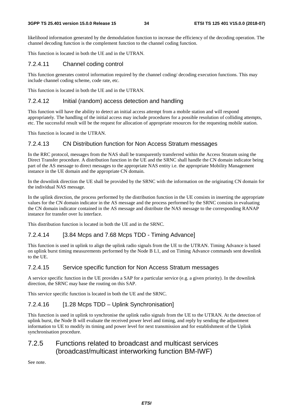likelihood information generated by the demodulation function to increase the efficiency of the decoding operation. The channel decoding function is the complement function to the channel coding function.

This function is located in both the UE and in the UTRAN.

### 7.2.4.11 Channel coding control

This function generates control information required by the channel coding/ decoding execution functions. This may include channel coding scheme, code rate, etc.

This function is located in both the UE and in the UTRAN.

#### 7.2.4.12 Initial (random) access detection and handling

This function will have the ability to detect an initial access attempt from a mobile station and will respond appropriately. The handling of the initial access may include procedures for a possible resolution of colliding attempts, etc. The successful result will be the request for allocation of appropriate resources for the requesting mobile station.

This function is located in the **UTRAN**.

### 7.2.4.13 CN Distribution function for Non Access Stratum messages

In the RRC protocol, messages from the NAS shall be transparently transferred within the Access Stratum using the Direct Transfer procedure. A distribution function in the UE and the SRNC shall handle the CN domain indicator being part of the AS message to direct messages to the appropriate NAS entity i.e. the appropriate Mobility Management instance in the UE domain and the appropriate CN domain.

In the downlink direction the UE shall be provided by the SRNC with the information on the originating CN domain for the individual NAS message.

In the uplink direction, the process performed by the distribution function in the UE consists in inserting the appropriate values for the CN domain indicator in the AS message and the process performed by the SRNC consists in evaluating the CN domain indicator contained in the AS message and distribute the NAS message to the corresponding RANAP instance for transfer over Iu interface.

This distribution function is located in both the UE and in the SRNC.

### 7.2.4.14 [3.84 Mcps and 7.68 Mcps TDD - Timing Advance]

This function is used in uplink to align the uplink radio signals from the UE to the UTRAN. Timing Advance is based on uplink burst timing measurements performed by the Node B L1, and on Timing Advance commands sent downlink to the UE.

#### 7.2.4.15 Service specific function for Non Access Stratum messages

A service specific function in the UE provides a SAP for a particular service (e.g. a given priority). In the downlink direction, the SRNC may base the routing on this SAP.

This service specific function is located in both the UE and the SRNC.

#### 7.2.4.16 [1.28 Mcps TDD – Uplink Synchronisation]

This function is used in uplink to synchronise the uplink radio signals from the UE to the UTRAN. At the detection of uplink burst, the Node B will evaluate the received power level and timing, and reply by sending the adjustment information to UE to modify its timing and power level for next transmission and for establishment of the Uplink synchronisation procedure.

## 7.2.5 Functions related to broadcast and multicast services (broadcast/multicast interworking function BM-IWF)

See note.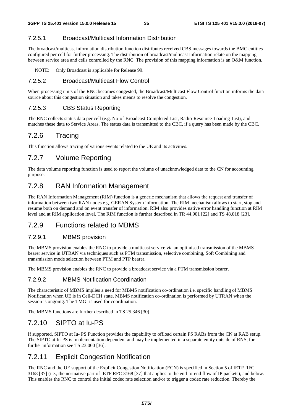### 7.2.5.1 Broadcast/Multicast Information Distribution

The broadcast/multicast information distribution function distributes received CBS messages towards the BMC entities configured per cell for further processing. The distribution of broadcast/multicast information relate on the mapping between service area and cells controlled by the RNC. The provision of this mapping information is an O&M function.

NOTE: Only Broadcast is applicable for Release 99.

### 7.2.5.2 Broadcast/Multicast Flow Control

When processing units of the RNC becomes congested, the Broadcast/Multicast Flow Control function informs the data source about this congestion situation and takes means to resolve the congestion.

### 7.2.5.3 CBS Status Reporting

The RNC collects status data per cell (e.g. No-of-Broadcast-Completed-List, Radio-Resource-Loading-List), and matches these data to Service Areas. The status data is transmitted to the CBC, if a query has been made by the CBC.

## 7.2.6 Tracing

This function allows tracing of various events related to the UE and its activities.

## 7.2.7 Volume Reporting

The data volume reporting function is used to report the volume of unacknowledged data to the CN for accounting purpose.

## 7.2.8 RAN Information Management

The RAN Information Management (RIM) function is a generic mechanism that allows the request and transfer of information between two RAN nodes e.g. GERAN System information. The RIM mechanism allows to start, stop and resume both on demand and on event transfer of information. RIM also provides native error handling function at RIM level and at RIM application level. The RIM function is further described in TR 44.901 [22] and TS 48.018 [23].

## 7.2.9 Functions related to MBMS

#### 7.2.9.1 MBMS provision

The MBMS provision enables the RNC to provide a multicast service via an optimised transmission of the MBMS bearer service in UTRAN via techniques such as PTM transmission, selective combining, Soft Combining and transmission mode selection between PTM and PTP bearer.

The MBMS provision enables the RNC to provide a broadcast service via a PTM transmission bearer.

#### 7.2.9.2 MBMS Notification Coordination

The characteristic of MBMS implies a need for MBMS notification co-ordination i.e. specific handling of MBMS Notification when UE is in Cell-DCH state. MBMS notification co-ordination is performed by UTRAN when the session is ongoing. The TMGI is used for coordination.

The MBMS functions are further described in TS 25.346 [30].

## 7.2.10 SIPTO at Iu-PS

If supported, SIPTO at Iu- PS Function provides the capability to offload certain PS RABs from the CN at RAB setup. The SIPTO at Iu-PS is implementation dependent and may be implemented in a separate entity outside of RNS, for further information see TS 23.060 [36].

## 7.2.11 Explicit Congestion Notification

The RNC and the UE support of the Explicit Congestion Notification (ECN) is specified in Section 5 of IETF RFC 3168 [37] (i.e., the normative part of IETF RFC 3168 [37] that applies to the end-to-end flow of IP packets), and below. This enables the RNC to control the initial codec rate selection and/or to trigger a codec rate reduction. Thereby the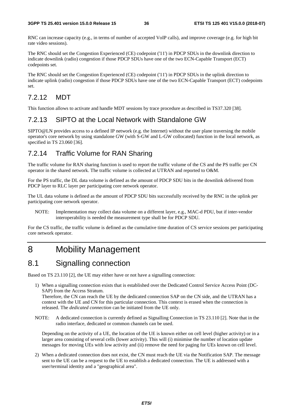RNC can increase capacity (e.g., in terms of number of accepted VoIP calls), and improve coverage (e.g. for high bit rate video sessions).

The RNC should set the Congestion Experienced (CE) codepoint ('11') in PDCP SDUs in the downlink direction to indicate downlink (radio) congestion if those PDCP SDUs have one of the two ECN-Capable Transport (ECT) codepoints set.

The RNC should set the Congestion Experienced (CE) codepoint ('11') in PDCP SDUs in the uplink direction to indicate uplink (radio) congestion if those PDCP SDUs have one of the two ECN-Capable Transport (ECT) codepoints set.

## 7.2.12 MDT

This function allows to activate and handle MDT sessions by trace procedure as described in TS37.320 [38].

### 7.2.13 SIPTO at the Local Network with Standalone GW

SIPTO@LN provides access to a defined IP network (e.g. the Internet) without the user plane traversing the mobile operator's core network by using standalone GW (with S-GW and L-GW collocated) function in the local network, as specified in TS 23.060 [36].

### 7.2.14 Traffic Volume for RAN Sharing

The traffic volume for RAN sharing function is used to report the traffic volume of the CS and the PS traffic per CN operator in the shared network. The traffic volume is collected at UTRAN and reported to O&M.

For the PS traffic, the DL data volume is defined as the amount of PDCP SDU bits in the downlink delivered from PDCP layer to RLC layer per participating core network operator.

The UL data volume is defined as the amount of PDCP SDU bits successfully received by the RNC in the uplink per participating core network operator.

NOTE: Implementation may collect data volume on a different layer, e.g., MAC-d PDU, but if inter-vendor interoperability is needed the measurement type shall be for PDCP SDU.

For the CS traffic, the traffic volume is defined as the cumulative time duration of CS service sessions per participating core network operator.

## 8 Mobility Management

## 8.1 Signalling connection

Based on TS 23.110 [2], the UE may either have or not have a signalling connection:

1) When a signalling connection exists that is established over the Dedicated Control Service Access Point (DC-SAP) from the Access Stratum.

Therefore, the CN can reach the UE by the dedicated connection SAP on the CN side, and the UTRAN has a context with the UE and CN for this particular connection. This context is erased when the connection is released. The *dedicated connection* can be initiated from the UE only.

NOTE: A dedicated connection is currently defined as Signalling Connection in TS 23.110 [2]. Note that in the radio interface, dedicated or common channels can be used.

 Depending on the activity of a UE, the location of the UE is known either on cell level (higher activity) or in a larger area consisting of several cells (lower activity). This will (i) minimise the number of location update messages for moving UEs with low activity and (ii) remove the need for paging for UEs known on cell level.

2) When a dedicated connection does not exist, the CN must reach the UE via the Notification SAP. The message sent to the UE can be a request to the UE to establish a dedicated connection. The UE is addressed with a user/terminal identity and a "geographical area".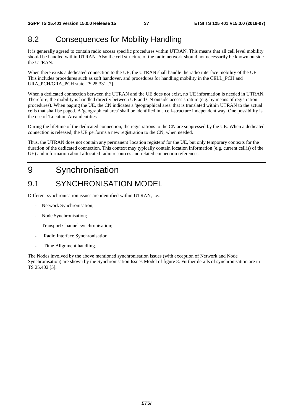## 8.2 Consequences for Mobility Handling

It is generally agreed to contain radio access specific procedures within UTRAN. This means that all cell level mobility should be handled within UTRAN. Also the cell structure of the radio network should not necessarily be known outside the UTRAN.

When there exists a dedicated connection to the UE, the UTRAN shall handle the radio interface mobility of the UE. This includes procedures such as soft handover, and procedures for handling mobility in the CELL\_PCH and URA\_PCH/GRA\_PCH state TS 25.331 [7].

When a dedicated connection between the UTRAN and the UE does not exist, no UE information is needed in UTRAN. Therefore, the mobility is handled directly between UE and CN outside access stratum (e.g. by means of registration procedures). When paging the UE, the CN indicates a 'geographical area' that is translated within UTRAN to the actual cells that shall be paged. A 'geographical area' shall be identified in a cell-structure independent way. One possibility is the use of 'Location Area identities'.

During the lifetime of the dedicated connection, the registrations to the CN are suppressed by the UE. When a dedicated connection is released, the UE performs a new registration to the CN, when needed.

Thus, the UTRAN does not contain any permanent 'location registers' for the UE, but only temporary contexts for the duration of the dedicated connection. This context may typically contain location information (e.g. current cell(s) of the UE) and information about allocated radio resources and related connection references.

## 9 Synchronisation

## 9.1 SYNCHRONISATION MODEL

Different synchronisation issues are identified within UTRAN, i.e.:

- Network Synchronisation;
- Node Synchronisation:
- Transport Channel synchronisation;
- Radio Interface Synchronisation;
- Time Alignment handling.

The Nodes involved by the above mentioned synchronisation issues (with exception of Network and Node Synchronisation) are shown by the Synchronisation Issues Model of figure 8. Further details of synchronisation are in TS 25.402 [5].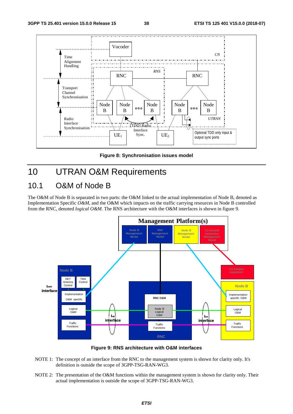

**Figure 8: Synchronisation issues model** 

## 10 UTRAN O&M Requirements

## 10.1 O&M of Node B

The O&M of Node B is separated in two parts: the O&M linked to the actual implementation of Node B, denoted as Implementation Specific *O&M*, and the O&M which impacts on the traffic carrying resources in Node B controlled from the RNC, denoted *logical O&M*. The RNS architecture with the O&M interfaces is shown in figure 9.



**Figure 9: RNS architecture with O&M interfaces** 

- NOTE 1: The concept of an interface from the RNC to the management system is shown for clarity only. It's definition is outside the scope of 3GPP-TSG-RAN-WG3.
- NOTE 2: The presentation of the O&M functions within the management system is shown for clarity only. Their actual implementation is outside the scope of 3GPP-TSG-RAN-WG3.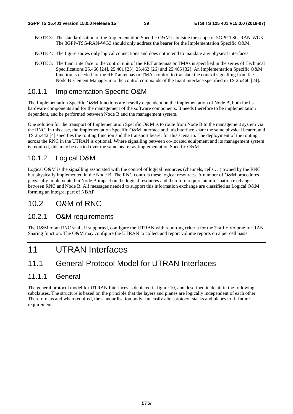- NOTE 3: The standardisation of the Implementation Specific O&M is outside the scope of 3GPP-TSG-RAN-WG3. The 3GPP-TSG-RAN-WG3 should only address the bearer for the Implementation Specific O&M.
- NOTE 4: The figure shows only logical connections and does not intend to mandate any physical interfaces.
- NOTE 5: The Iuant interface to the control unit of the RET antennas or TMAs is specified in the series of Technical Specifications 25.460 [24], 25.461 [25], 25.462 [26] and 25.466 [32]. An Implementation Specific O&M function is needed for the RET antennas or TMAs control to translate the control signalling from the Node B Element Manager into the control commands of the Iuant interface specified in TS 25.460 [24].

## 10.1.1 Implementation Specific O&M

The Implementation Specific O&M functions are heavily dependent on the implementation of Node B, both for its hardware components and for the management of the software components. It needs therefore to be implementation dependent, and be performed between Node B and the management system.

One solution for the transport of Implementation Specific O&M is to route from Node B to the management system via the RNC. In this case, the Implementation Specific O&M interface and Iub interface share the same physical bearer, and TS 25.442 [4] specifies the routing function and the transport bearer for this scenario. The deployment of the routing across the RNC in the UTRAN is optional. Where signalling between co-located equipment and its management system is required, this may be carried over the same bearer as Implementation Specific O&M.

## 10.1.2 Logical O&M

Logical O&M is the signalling associated with the control of logical resources (channels, cells,…) owned by the RNC but physically implemented in the Node B. The RNC controls these logical resources. A number of O&M procedures physically implemented in Node B impact on the logical resources and therefore require an information exchange between RNC and Node B. All messages needed to support this information exchange are classified as Logical O&M forming an integral part of NBAP.

## 10.2 O&M of RNC

### 10.2.1 O&M requirements

The O&M of an RNC shall, if supported, configure the UTRAN with reporting criteria for the Traffic Volume for RAN Sharing function. The O&M may configure the UTRAN to collect and report volume reports on a per cell basis.

## 11 UTRAN Interfaces

## 11.1 General Protocol Model for UTRAN Interfaces

### 11.1.1 General

The general protocol model for UTRAN Interfaces is depicted in figure 10, and described in detail in the following subclauses. The structure is based on the principle that the layers and planes are logically independent of each other. Therefore, as and when required, the standardisation body can easily alter protocol stacks and planes to fit future requirements.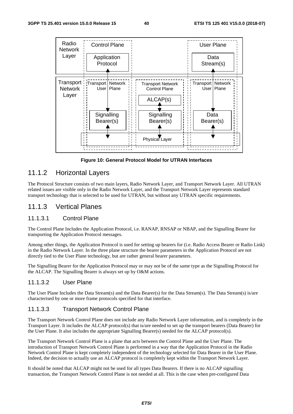

**Figure 10: General Protocol Model for UTRAN Interfaces** 

## 11.1.2 Horizontal Layers

The Protocol Structure consists of two main layers, Radio Network Layer, and Transport Network Layer. All UTRAN related issues are visible only in the Radio Network Layer, and the Transport Network Layer represents standard transport technology that is selected to be used for UTRAN, but without any UTRAN specific requirements.

### 11.1.3 Vertical Planes

#### 11.1.3.1 Control Plane

The Control Plane Includes the Application Protocol, i.e. RANAP, RNSAP or NBAP, and the Signalling Bearer for transporting the Application Protocol messages.

Among other things, the Application Protocol is used for setting up bearers for (i.e. Radio Access Bearer or Radio Link) in the Radio Network Layer. In the three plane structure the bearer parameters in the Application Protocol are not directly tied to the User Plane technology, but are rather general bearer parameters.

The Signalling Bearer for the Application Protocol may or may not be of the same type as the Signalling Protocol for the ALCAP. The Signalling Bearer is always set up by O&M actions.

#### 11.1.3.2 User Plane

The User Plane Includes the Data Stream(s) and the Data Bearer(s) for the Data Stream(s). The Data Stream(s) is/are characterised by one or more frame protocols specified for that interface.

#### 11.1.3.3 Transport Network Control Plane

The Transport Network Control Plane does not include any Radio Network Layer information, and is completely in the Transport Layer. It includes the ALCAP protocol(s) that is/are needed to set up the transport bearers (Data Bearer) for the User Plane. It also includes the appropriate Signalling Bearer(s) needed for the ALCAP protocol(s).

The Transport Network Control Plane is a plane that acts between the Control Plane and the User Plane. The introduction of Transport Network Control Plane is performed in a way that the Application Protocol in the Radio Network Control Plane is kept completely independent of the technology selected for Data Bearer in the User Plane. Indeed, the decision to actually use an ALCAP protocol is completely kept within the Transport Network Layer.

It should be noted that ALCAP might not be used for all types Data Bearers. If there is no ALCAP signalling transaction, the Transport Network Control Plane is not needed at all. This is the case when pre-configured Data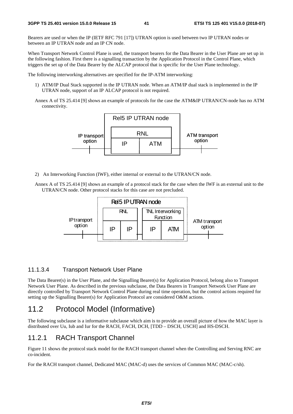Bearers are used or when the IP (IETF RFC 791 [17]) UTRAN option is used between two IP UTRAN nodes or between an IP UTRAN node and an IP CN node.

When Transport Network Control Plane is used, the transport bearers for the Data Bearer in the User Plane are set up in the following fashion. First there is a signalling transaction by the Application Protocol in the Control Plane, which triggers the set up of the Data Bearer by the ALCAP protocol that is specific for the User Plane technology.

The following interworking alternatives are specified for the IP-ATM interworking:

- 1) ATM/IP Dual Stack supported in the IP UTRAN node. When an ATM/IP dual stack is implemented in the IP UTRAN node, support of an IP ALCAP protocol is not required.
- Annex A of TS 25.414 [9] shows an example of protocols for the case the ATM&IP UTRAN/CN-node has no ATM connectivity.



2) An Interworking Function (IWF), either internal or external to the UTRAN/CN node.

Annex A of TS 25.414 [9] shows an example of a protocol stack for the case when the IWF is an external unit to the UTRAN/CN node. Other protocol stacks for this case are not precluded.

|                    | <b>Rel5 IP UTRAN node</b> |     |  |    |                                            |  |                         |  |
|--------------------|---------------------------|-----|--|----|--------------------------------------------|--|-------------------------|--|
| <b>IPtransport</b> |                           | RNI |  |    | <b>TNL Interworking</b><br><b>Function</b> |  |                         |  |
| option             | IP                        | IP  |  | IP | ATM                                        |  | ATM transport<br>option |  |
|                    |                           |     |  |    |                                            |  |                         |  |

#### 11.1.3.4 Transport Network User Plane

The Data Bearer(s) in the User Plane, and the Signalling Bearer(s) for Application Protocol, belong also to Transport Network User Plane. As described in the previous subclause, the Data Bearers in Transport Network User Plane are directly controlled by Transport Network Control Plane during real time operation, but the control actions required for setting up the Signalling Bearer(s) for Application Protocol are considered O&M actions.

## 11.2 Protocol Model (Informative)

The following subclause is a informative subclause which aim is to provide an overall picture of how the MAC layer is distributed over Uu, Iub and Iur for the RACH, FACH, DCH, [TDD – DSCH, USCH] and HS-DSCH.

## 11.2.1 RACH Transport Channel

Figure 11 shows the protocol stack model for the RACH transport channel when the Controlling and Serving RNC are co-incident.

For the RACH transport channel, Dedicated MAC (MAC-d) uses the services of Common MAC (MAC-c/sh).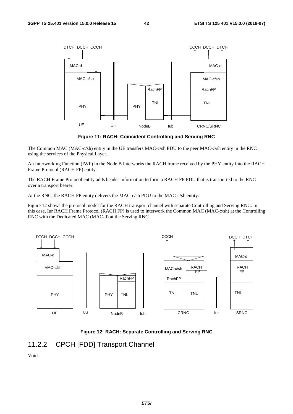

**Figure 11: RACH: Coincident Controlling and Serving RNC** 

The Common MAC (MAC-c/sh) entity in the UE transfers MAC-c/sh PDU to the peer MAC-c/sh entity in the RNC using the services of the Physical Layer.

An Interworking Function (IWF) in the Node B interworks the RACH frame received by the PHY entity into the RACH Frame Protocol (RACH FP) entity.

The RACH Frame Protocol entity adds header information to form a RACH FP PDU that is transported to the RNC over a transport bearer.

At the RNC, the RACH FP entity delivers the MAC-c/sh PDU to the MAC-c/sh entity.

Figure 12 shows the protocol model for the RACH transport channel with separate Controlling and Serving RNC. In this case, Iur RACH Frame Protocol (RACH FP) is used to interwork the Common MAC (MAC-c/sh) at the Controlling RNC with the Dedicated MAC (MAC-d) at the Serving RNC.



#### **Figure 12: RACH: Separate Controlling and Serving RNC**

## 11.2.2 CPCH [FDD] Transport Channel

Void.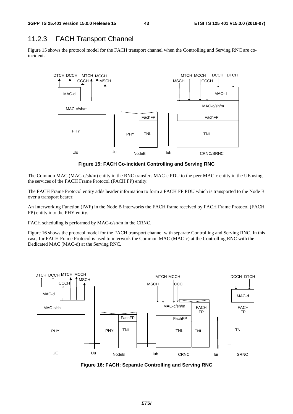## 11.2.3 FACH Transport Channel

Figure 15 shows the protocol model for the FACH transport channel when the Controlling and Serving RNC are coincident.



**Figure 15: FACH Co-incident Controlling and Serving RNC** 

The Common MAC (MAC-c/sh/m) entity in the RNC transfers MAC-c PDU to the peer MAC-c entity in the UE using the services of the FACH Frame Protocol (FACH FP) entity.

The FACH Frame Protocol entity adds header information to form a FACH FP PDU which is transported to the Node B over a transport bearer.

An Interworking Function (IWF) in the Node B interworks the FACH frame received by FACH Frame Protocol (FACH FP) entity into the PHY entity.

FACH scheduling is performed by MAC-c/sh/m in the CRNC.

Figure 16 shows the protocol model for the FACH transport channel with separate Controlling and Serving RNC. In this case, Iur FACH Frame Protocol is used to interwork the Common MAC (MAC-c) at the Controlling RNC with the Dedicated MAC (MAC-d) at the Serving RNC.



**Figure 16: FACH: Separate Controlling and Serving RNC**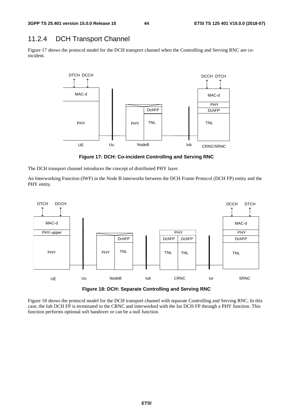## 11.2.4 DCH Transport Channel

Figure 17 shows the protocol model for the DCH transport channel when the Controlling and Serving RNC are coincident.



**Figure 17: DCH: Co-incident Controlling and Serving RNC** 

The DCH transport channel introduces the concept of distributed PHY layer.

An Interworking Function (IWF) in the Node B interworks between the DCH Frame Protocol (DCH FP) entity and the PHY entity.





Figure 18 shows the protocol model for the DCH transport channel with separate Controlling and Serving RNC. In this case, the Iub DCH FP is terminated in the CRNC and interworked with the Iur DCH FP through a PHY function. This function performs optional soft handover or can be a null function.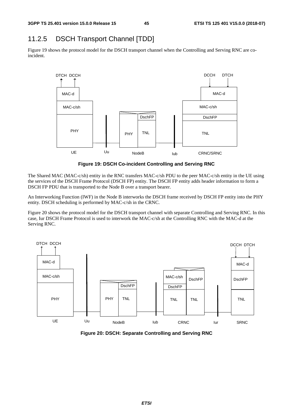## 11.2.5 DSCH Transport Channel [TDD]

Figure 19 shows the protocol model for the DSCH transport channel when the Controlling and Serving RNC are coincident.



**Figure 19: DSCH Co-incident Controlling and Serving RNC** 

The Shared MAC (MAC-c/sh) entity in the RNC transfers MAC-c/sh PDU to the peer MAC-c/sh entity in the UE using the services of the DSCH Frame Protocol (DSCH FP) entity. The DSCH FP entity adds header information to form a DSCH FP PDU that is transported to the Node B over a transport bearer.

An Interworking Function (IWF) in the Node B interworks the DSCH frame received by DSCH FP entity into the PHY entity. DSCH scheduling is performed by MAC-c/sh in the CRNC.

Figure 20 shows the protocol model for the DSCH transport channel with separate Controlling and Serving RNC. In this case, Iur DSCH Frame Protocol is used to interwork the MAC-c/sh at the Controlling RNC with the MAC-d at the Serving RNC.



**Figure 20: DSCH: Separate Controlling and Serving RNC**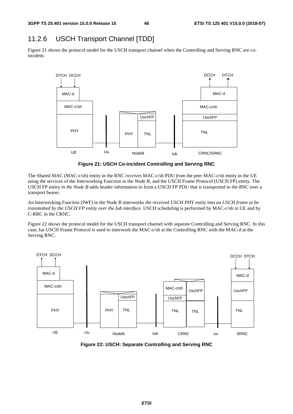## 11.2.6 USCH Transport Channel [TDD]

Figure 21 shows the protocol model for the USCH transport channel when the Controlling and Serving RNC are coincident.



**Figure 21: USCH Co-incident Controlling and Serving RNC** 

The Shared MAC (MAC-c/sh) entity in the RNC *receives* MAC-c/sh PDU *from* the peer MAC-c/sh entity in the UE using the services of the Interworking Function in the Node B, and the USCH Frame Protocol (USCH FP) entity. The USCH FP entity *in the Node B* adds header information to form a USCH FP PDU that is transported to the *RNC* over a transport bearer.

An Interworking Function (IWF) in the Node B interworks *the received USCH PHY entity into an USCH frame to be transmitted by the USCH FP entity over the Iub interface*. USCH scheduling is performed by MAC-c/sh in UE and by C-RRC in the CRNC.

Figure 22 shows the protocol model for the USCH transport channel with separate Controlling and Serving RNC. In this case, Iur USCH Frame Protocol is used to interwork the MAC-c/sh at the Controlling RNC with the MAC-d at the Serving RNC.



**Figure 22: USCH: Separate Controlling and Serving RNC**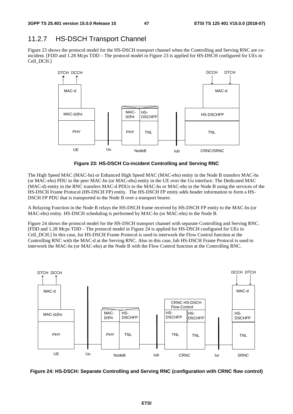## 11.2.7 HS-DSCH Transport Channel

Figure 23 shows the protocol model for the HS-DSCH transport channel when the Controlling and Serving RNC are coincident. [FDD and 1.28 Mcps TDD – The protocol model in Figure 23 is applied for HS-DSCH configured for UEs in Cell\_DCH.]



**Figure 23: HS-DSCH Co-incident Controlling and Serving RNC** 

The High Speed MAC (MAC-hs) or Enhanced High Speed MAC (MAC-ehs) entity in the Node B transfers MAC-hs (or MAC-ehs) PDU to the peer MAC-hs (or MAC-ehs) entity in the UE over the Uu interface. The Dedicated MAC (MAC-d) entity in the RNC transfers MAC-d PDUs to the MAC-hs or MAC-ehs in the Node B using the services of the HS-DSCH Frame Protocol (HS-DSCH FP) entity. The HS-DSCH FP entity adds header information to form a HS-DSCH FP PDU that is transported to the Node B over a transport bearer.

A Relaying Function in the Node B relays the HS-DSCH frame received by HS-DSCH FP entity to the MAC-hs (or MAC-ehs) entity. HS-DSCH scheduling is performed by MAC-hs (or MAC-ehs) in the Node B.

Figure 24 shows the protocol model for the HS-DSCH transport channel with separate Controlling and Serving RNC. [FDD and 1.28 Mcps TDD – The protocol model in Figure 24 is applied for HS-DSCH configured for UEs in Cell\_DCH.] In this case, Iur HS-DSCH Frame Protocol is used to interwork the Flow Control function at the Controlling RNC with the MAC-d at the Serving RNC. Also in this case, Iub HS-DSCH Frame Protocol is used to interwork the MAC-hs (or MAC-ehs) at the Node B with the Flow Control function at the Controlling RNC.



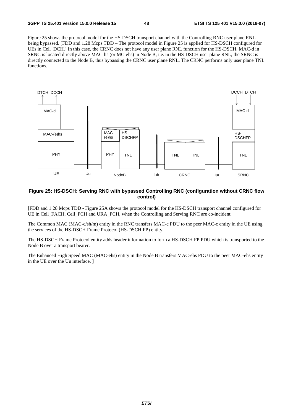Figure 25 shows the protocol model for the HS-DSCH transport channel with the Controlling RNC user plane RNL being bypassed. [FDD and 1.28 Mcps TDD – The protocol model in Figure 25 is applied for HS-DSCH configured for UEs in Cell\_DCH.] In this case, the CRNC does not have any user plane RNL function for the HS-DSCH. MAC-d in SRNC is located directly above MAC-hs (or MC-ehs) in Node B, i.e. in the HS-DSCH user plane RNL, the SRNC is directly connected to the Node B, thus bypassing the CRNC user plane RNL. The CRNC performs only user plane TNL functions.



#### **Figure 25: HS-DSCH: Serving RNC with bypassed Controlling RNC (configuration without CRNC flow control)**

[FDD and 1.28 Mcps TDD - Figure 25A shows the protocol model for the HS-DSCH transport channel configured for UE in Cell\_FACH, Cell\_PCH and URA\_PCH, when the Controlling and Serving RNC are co-incident.

The Common MAC (MAC-c/sh/m) entity in the RNC transfers MAC-c PDU to the peer MAC-c entity in the UE using the services of the HS-DSCH Frame Protocol (HS-DSCH FP) entity.

The HS-DSCH Frame Protocol entity adds header information to form a HS-DSCH FP PDU which is transported to the Node B over a transport bearer.

The Enhanced High Speed MAC (MAC-ehs) entity in the Node B transfers MAC-ehs PDU to the peer MAC-ehs entity in the UE over the Uu interface. ]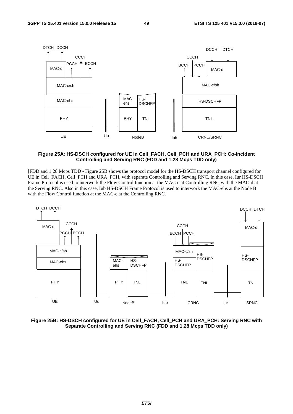

#### **Figure 25A: HS-DSCH configured for UE in Cell\_FACH, Cell\_PCH and URA\_PCH: Co-incident Controlling and Serving RNC (FDD and 1.28 Mcps TDD only)**

[FDD and 1.28 Mcps TDD - Figure 25B shows the protocol model for the HS-DSCH transport channel configured for UE in Cell\_FACH, Cell\_PCH and URA\_PCH, with separate Controlling and Serving RNC. In this case, Iur HS-DSCH Frame Protocol is used to interwork the Flow Control function at the MAC-c at Controlling RNC with the MAC-d at the Serving RNC. Also in this case, Iub HS-DSCH Frame Protocol is used to interwork the MAC-ehs at the Node B with the Flow Control function at the MAC-c at the Controlling RNC.]



**Figure 25B: HS-DSCH configured for UE in Cell\_FACH, Cell\_PCH and URA\_PCH: Serving RNC with Separate Controlling and Serving RNC (FDD and 1.28 Mcps TDD only)**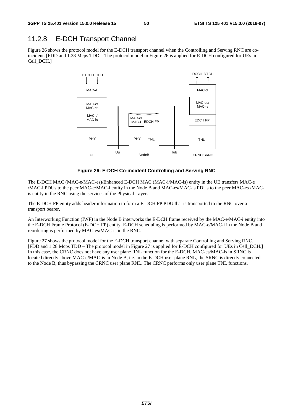## 11.2.8 E-DCH Transport Channel

Figure 26 shows the protocol model for the E-DCH transport channel when the Controlling and Serving RNC are coincident. [FDD and 1.28 Mcps TDD – The protocol model in Figure 26 is applied for E-DCH configured for UEs in Cell\_DCH.]



**Figure 26: E-DCH Co-incident Controlling and Serving RNC** 

The E-DCH MAC (MAC-e/MAC-es)/Enhanced E-DCH MAC (MAC-i/MAC-is) entity in the UE transfers MAC-e /MAC-i PDUs to the peer MAC-e/MAC-i entity in the Node B and MAC-es/MAC-is PDUs to the peer MAC-es /MACis entity in the RNC using the services of the Physical Layer.

The E-DCH FP entity adds header information to form a E-DCH FP PDU that is transported to the RNC over a transport bearer.

An Interworking Function (IWF) in the Node B interworks the E-DCH frame received by the MAC-e/MAC-i entity into the E-DCH Frame Protocol (E-DCH FP) entity. E-DCH scheduling is performed by MAC-e/MAC-i in the Node B and reordering is performed by MAC-es/MAC-is in the RNC.

Figure 27 shows the protocol model for the E-DCH transport channel with separate Controlling and Serving RNC. [FDD and 1.28 Mcps TDD – The protocol model in Figure 27 is applied for E-DCH configured for UEs in Cell\_DCH.] In this case, the CRNC does not have any user plane RNL function for the E-DCH. MAC-es/MAC-is in SRNC is located directly above MAC-e/MAC-is in Node B, i.e. in the E-DCH user plane RNL, the SRNC is directly connected to the Node B, thus bypassing the CRNC user plane RNL. The CRNC performs only user plane TNL functions.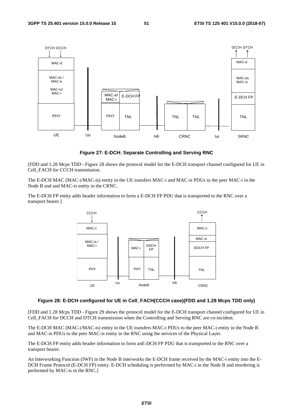

**Figure 27: E-DCH: Separate Controlling and Serving RNC**

[FDD and 1.28 Mcps TDD - Figure 28 shows the protocol model for the E-DCH transport channel configured for UE in Cell\_FACH for CCCH transmission.

The E-DCH MAC (MAC-i/MAC-is) entity in the UE transfers MAC-i and MAC-is PDUs to the peer MAC-i in the Node B and and MAC-is entity in the CRNC.

The E-DCH FP entity adds header information to form a E-DCH FP PDU that is transported to the RNC over a transport bearer.]



#### **Figure 28: E-DCH configured for UE in Cell\_FACH(CCCH case)(FDD and 1.28 Mcps TDD only)**

[FDD and 1.28 Mcps TDD - Figure 29 shows the protocol model for the E-DCH transport channel configured for UE in Cell FACH for DCCH and DTCH transmission when the Controlling and Serving RNC are co-incident.

The E-DCH MAC (MAC-i/MAC-is) entity in the UE transfers MAC-i PDUs to the peer MAC-i entity in the Node B and MAC-is PDUs to the peer MAC-is entity in the RNC using the services of the Physical Layer.

The E-DCH FP entity adds header information to form anE-DCH FP PDU that is transported to the RNC over a transport bearer.

An Interworking Function (IWF) in the Node B interworks the E-DCH frame received by the MAC-i entity into the E-DCH Frame Protocol (E-DCH FP) entity. E-DCH scheduling is performed by MAC-i in the Node B and reordering is performed by MAC-is in the RNC.]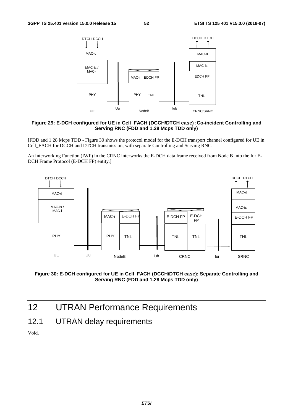

#### **Figure 29: E-DCH configured for UE in Cell\_FACH (DCCH/DTCH case) :Co-incident Controlling and Serving RNC (FDD and 1.28 Mcps TDD only)**

[FDD and 1.28 Mcps TDD - Figure 30 shows the protocol model for the E-DCH transport channel configured for UE in Cell\_FACH for DCCH and DTCH transmission, with separate Controlling and Serving RNC.

An Interworking Function (IWF) in the CRNC interworks the E-DCH data frame received from Node B into the Iur E-DCH Frame Protocol (E-DCH FP) entity.]



#### **Figure 30: E-DCH configured for UE in Cell\_FACH (DCCH/DTCH case): Separate Controlling and Serving RNC (FDD and 1.28 Mcps TDD only)**

## 12 UTRAN Performance Requirements

12.1 UTRAN delay requirements

Void.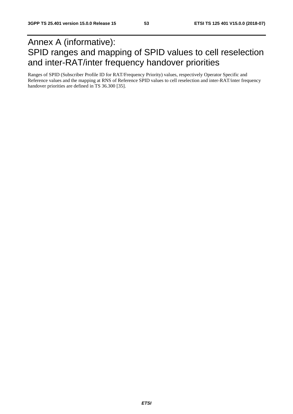## Annex A (informative): SPID ranges and mapping of SPID values to cell reselection and inter-RAT/inter frequency handover priorities

Ranges of SPID (Subscriber Profile ID for RAT/Frequency Priority) values, respectively Operator Specific and Reference values and the mapping at RNS of Reference SPID values to cell reselection and inter-RAT/inter frequency handover priorities are defined in TS 36.300 [35].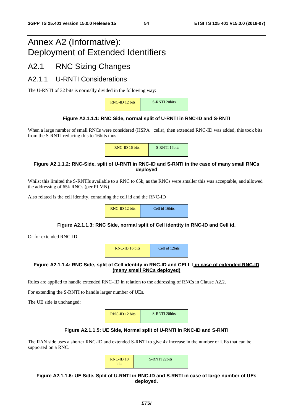## Annex A2 (Informative): Deployment of Extended Identifiers

## A2.1 RNC Sizing Changes

## A2.1.1 U-RNTI Considerations

The U-RNTI of 32 bits is normally divided in the following way:

| RNC-ID 12 bits | S-RNTI 20bits                                                          |  |
|----------------|------------------------------------------------------------------------|--|
|                | Figure A2.1.1.1: RNC Side, normal split of U-RNTI in RNC-ID and S-RNTI |  |

When a large number of small RNCs were considered (HSPA+ cells), then extended RNC-ID was added, this took bits from the S-RNTI reducing this to 16bits thus:

| RNC-ID 16 bits | S-RNTI 16bits |
|----------------|---------------|
|                |               |

#### **Figure A2.1.1.2: RNC-Side, split of U-RNTI in RNC-ID and S-RNTI in the case of many small RNCs deployed**

Whilst this limited the S-RNTIs available to a RNC to 65k, as the RNCs were smaller this was acceptable, and allowed the addressing of 65k RNCs (per PLMN).

Also related is the cell identity, containing the cell id and the RNC-ID



#### **Figure A2.1.1.3: RNC Side, normal split of Cell identity in RNC-ID and Cell id.**

Or for extended RNC-ID

| RNC-ID 16 bits | Cell id 12bits |
|----------------|----------------|
|                |                |

#### Figure A2.1.1.4: RNC Side, split of Cell identity in RNC-ID and CELL I in case of extended RNC-ID **(many smell RNCs deployed)**  20 bits

Rules are applied to handle extended RNC–ID in relation to the addressing of RNCs in Clause A2,2.

For extending the S-RNTI to handle larger number of UEs.

The UE side is unchanged:

| RNC-ID 12 bits | <b>S-RNTI 20bits</b> |
|----------------|----------------------|
|                |                      |

#### **Figure A2.1.1.5: UE Side, Normal split of U-RNTI in RNC-ID and S-RNTI**

The RAN side uses a shorter RNC-ID and extended S-RNTI to give 4x increase in the number of UEs that can be supported on a RNC.

| $RNC$ -ID $10$<br><b>bits</b> | <b>S-RNTI 22bits</b> |
|-------------------------------|----------------------|
|                               |                      |

**Figure A2.1.1.6: UE Side, Split of U-RNTI in RNC-ID and S-RNTI in case of large number of UEs deployed.**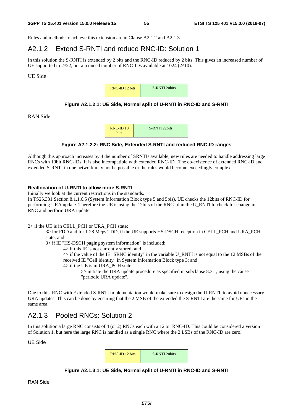Rules and methods to achieve this extension are in Clause A2.1.2 and A2.1.3.

## A2.1.2 Extend S-RNTI and reduce RNC-ID: Solution 1

In this solution the S-RNTI is extended by 2 bits and the RNC-ID reduced by 2 bits. This gives an increased number of UE supported to 2^22, but a reduced number of RNC-IDs available at 1024 (2^10).

UE Side



#### **Figure A2.1.2.1: UE Side, Normal split of U-RNTI in RNC-ID and S-RNTI**

RAN Side



#### **Figure A2.1.2.2: RNC Side, Extended S-RNTI and reduced RNC-ID ranges**

Although this approach increases by 4 the number of SRNTIs available, new rules are needed to handle addressing large RNCs with 10bit RNC-IDs. It is also incompatible with extended RNC-ID. The co-existence of extended RNC-ID and extended S-RNTI in one network may not be possible or the rules would become exceedingly complex.

#### **Reallocation of U-RNTI to allow more S-RNTI**

Initially we look at the current restrictions in the standards.

In TS25.331 Section 8.1.1.6.5 (System Information Block type 5 and 5bis), UE checks the 12bits of RNC-ID for performing URA update. Therefore the UE is using the 12bits of the RNC-Id in the U\_RNTI to check for change in RNC and perform URA update.

2> if the UE is in CELL\_PCH or URA\_PCH state:

3> for FDD and for 1.28 Mcps TDD, if the UE supports HS-DSCH reception in CELL\_PCH and URA\_PCH state; and

3> if IE "HS-DSCH paging system information" is included:

4> if this IE is not currently stored; and

4> if the value of the IE "SRNC identity" in the variable U\_RNTI is not equal to the 12 MSBs of the received IE "Cell identity" in System Information Block type 3; and

4> if the UE is in URA\_PCH state:

5> initiate the URA update procedure as specified in subclause 8.3.1, using the cause "periodic URA update".

Due to this, RNC with Extended S-RNTI implementation would make sure to design the U-RNTI, to avoid unnecessary URA updates. This can be done by ensuring that the 2 MSB of the extended the S-RNTI are the same for UEs in the same area.

## A2.1.3 Pooled RNCs: Solution 2

In this solution a large RNC consists of 4 (or 2) RNCs each with a 12 bit RNC-ID. This could be considered a version of Solution 1, but here the large RNC is handled as a single RNC where the 2 LSBs of the RNC-ID are zero.

UE Side



**Figure A2.1.3.1: UE Side, Normal split of U-RNTI in RNC-ID and S-RNTI** 

RAN Side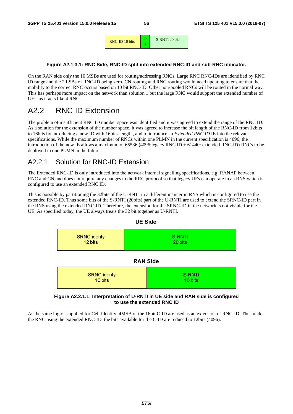

#### **Figure A2.1.3.1: RNC Side, RNC-ID split into extended RNC-ID and sub-RNC indicator.**

On the RAN side only the 10 MSBs are used for routing/addressing RNCs. Large RNC RNC-IDs are identified by RNC ID range and the 2 LSBs of RNC-ID being zero. CN routing and RNC routing would need updating to ensure that the mobility to the correct RNC occurs based on 10 bit RNC-ID. Other non-pooled RNCs will be routed in the normal way. This has perhaps more impact on the network than solution 1 but the large RNC would support the extended number of UEs, as it acts like 4 RNCs.

## A2.2 RNC ID Extension

The problem of insufficient RNC ID number space was identified and it was agreed to extend the range of the RNC ID. As a solution for the extension of the number space, it was agreed to increase the bit length of the RNC-ID from 12bits to 16bits by introducing a new ID with 16bits-length , and to introduce an *Extended RNC ID* IE into the relevant specifications. While the maximum number of RNCs within one PLMN in the current specification is 4096, the introduction of the new IE allows a maximum of 65536 (4096:legacy RNC ID + 61440: extended RNC-ID) RNCs to be deployed in one PLMN in the future.

### A2.2.1 Solution for RNC-ID Extension

The Extended RNC-ID is only introduced into the network internal signalling specifications, e.g. RANAP between RNC and CN and does not require any changes to the RRC protocol so that legacy UEs can operate in an RNS which is configured to use an extended RNC ID.

This is possible by partitioning the 32bits of the U-RNTI in a different manner in RNS which is configured to use the extended RNC-ID. Thus some bits of the S-RNTI (20bits) part of the U-RNTI are used to extend the SRNC-ID part in the RNS using the extended RNC-ID. Therefore, the extension for the SRNC-ID in the network is not visible for the UE. As specified today, the UE always treats the 32 bit together as U-RNTI.



#### **Figure A2.2.1.1: Interpretation of U-RNTI in UE side and RAN side is configured to use the extended RNC ID**

As the same logic is applied for Cell Identity, 4MSB of the 16bit C-ID are used as an extension of RNC-ID. Thus under the RNC using the extended RNC-ID, the bits available for the C-ID are reduced to 12bits (4096).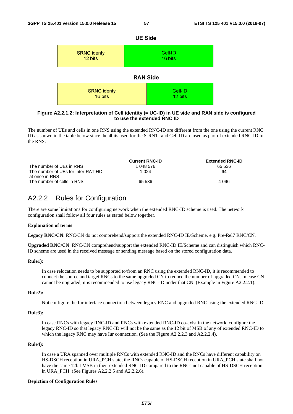

#### **Figure A2.2.1.2: Interpretation of Cell identity (= UC-ID) in UE side and RAN side is configured to use the extended RNC ID**

The number of UEs and cells in one RNS using the extended RNC-ID are different from the one using the current RNC ID as shown in the table below since the 4bits used for the S-RNTI and Cell ID are used as part of extended RNC-ID in the RNS.

|                                                      | <b>Current RNC-ID</b> | <b>Extended RNC-ID</b> |
|------------------------------------------------------|-----------------------|------------------------|
| The number of UEs in RNS                             | 1 048 576             | 65 536                 |
| The number of UEs for Inter-RAT HO<br>at once in RNS | 1 024                 | 64                     |
| The number of cells in RNS                           | 65 536                | 4 0 9 6                |

## A2.2.2 Rules for Configuration

There are some limitations for configuring network when the extended RNC-ID scheme is used. The network configuration shall follow all four rules as stated below together.

#### **Explanation of terms**

**Legacy RNC/CN**: RNC/CN do not comprehend/support the extended RNC-ID IE/Scheme, e.g. Pre-Rel7 RNC/CN.

**Upgraded RNC/CN**: RNC/CN comprehend/support the extended RNC-ID IE/Scheme and can distinguish which RNC-ID scheme are used in the received message or sending message based on the stored configuration data.

#### **Rule1):**

 In case relocation needs to be supported to/from an RNC using the extended RNC-ID, it is recommended to connect the source and target RNCs to the same upgraded CN to reduce the number of upgraded CN. In case CN cannot be upgraded, it is recommended to use legacy RNC-ID under that CN. (Example in Figure A2.2.2.1).

#### **Rule2):**

Not configure the Iur interface connection between legacy RNC and upgraded RNC using the extended RNC-ID.

#### **Rule3):**

 In case RNCs with legacy RNC-ID and RNCs with extended RNC-ID co-exist in the network, configure the legacy RNC-ID so that legacy RNC-ID will not be the same as the 12 bit of MSB of any of extended RNC-ID to which the legacy RNC may have Iur connection. (See the Figure A2.2.2.3 and A2.2.2.4).

#### **Rule4):**

 In case a URA spanned over multiple RNCs with extended RNC-ID and the RNCs have different capability on HS-DSCH reception in URA\_PCH state, the RNCs capable of HS-DSCH reception in URA\_PCH state shall not have the same 12bit MSB in their extended RNC-ID compared to the RNCs not capable of HS-DSCH reception in URA\_PCH. (See Figures A2.2.2.5 and A2.2.2.6).

#### **Depiction of Configuration Rules**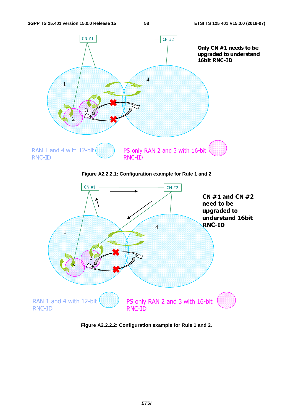

**Figure A2.2.2.1: Configuration example for Rule 1 and 2** 



**Figure A2.2.2.2: Configuration example for Rule 1 and 2.**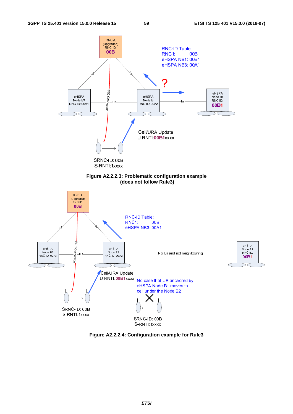

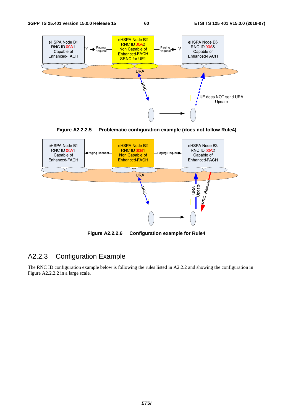

**Figure A2.2.2.5 Problematic configuration example (does not follow Rule4)** 



**Figure A2.2.2.6 Configuration example for Rule4** 

## A2.2.3 Configuration Example

The RNC ID configuration example below is following the rules listed in A2.2.2 and showing the configuration in Figure A2.2.2.2 in a large scale.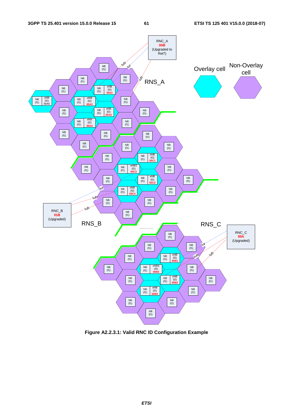

**Figure A2.2.3.1: Valid RNC ID Configuration Example**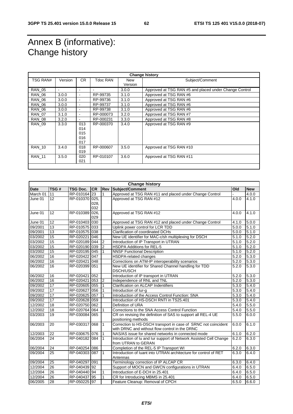## Annex B (informative): Change history

|               | <b>Change history</b>    |                                 |           |                       |                                                        |  |  |  |
|---------------|--------------------------|---------------------------------|-----------|-----------------------|--------------------------------------------------------|--|--|--|
| TSG RAN#      | Version                  | CR.                             | Tdoc RAN  | <b>New</b><br>Version | Subject/Comment                                        |  |  |  |
| <b>RAN 05</b> | $\overline{\phantom{a}}$ | -                               | ٠         | 3.0.0                 | Approved at TSG RAN #5 and placed under Change Control |  |  |  |
| <b>RAN 06</b> | 3.0.0                    | $\overline{\phantom{a}}$        | RP-99735  | 3.1.0                 | Approved at TSG RAN #6                                 |  |  |  |
| <b>RAN 06</b> | 3.0.0                    | ۰                               | RP-99736  | 3.1.0                 | Approved at TSG RAN #6                                 |  |  |  |
| <b>RAN 06</b> | 3.0.0                    | -                               | RP-99737  | 3.1.0                 | Approved at TSG RAN #6                                 |  |  |  |
| <b>RAN 06</b> | 3.0.0                    | $\blacksquare$                  | RP-99738  | 3.1.0                 | Approved at TSG RAN #6                                 |  |  |  |
| <b>RAN 07</b> | 3.1.0                    | ۰                               | RP-000073 | 3.2.0                 | Approved at TSG RAN #7                                 |  |  |  |
| <b>RAN 08</b> | 3.2.0                    | $\overline{\phantom{0}}$        | RP-000231 | 3.3.0                 | Approved at TSG RAN #8                                 |  |  |  |
| <b>RAN 09</b> | 3.3.0                    | 013<br>014<br>015<br>016<br>017 | RP-000370 | 3.4.0                 | Approved at TSG RAN #9                                 |  |  |  |
| <b>RAN 10</b> | 3.4.0                    | 018<br>019                      | RP-000607 | 3.5.0                 | Approved at TSG RAN #10                                |  |  |  |
| <b>RAN 11</b> | 3.5.0                    | 020<br>021                      | RP-010107 | 3.6.0                 | Approved at TSG RAN #11                                |  |  |  |
|               |                          |                                 |           |                       |                                                        |  |  |  |

| <b>Change history</b> |                 |                 |           |                |                                                                    |                    |            |
|-----------------------|-----------------|-----------------|-----------|----------------|--------------------------------------------------------------------|--------------------|------------|
| Date                  | TSG#            | <b>TSG Doc.</b> | <b>CR</b> | Rev            | Subject/Comment                                                    | Old                | <b>New</b> |
| March 01              | 11              | RP-010164 23    |           | $\mathbf{1}$   | Approved at TSG RAN #11 and placed under Change Control            |                    | 4.0.0      |
| June 01               | 12              | RP-010370 025,  |           |                | Approved at TSG RAN #12                                            | 4.0.0              | 4.1.0      |
|                       |                 |                 | 028,      |                |                                                                    |                    |            |
|                       |                 |                 | 032       |                |                                                                    |                    |            |
| June 01               | 12              | RP-010389       | 026,      |                | Approved at TSG RAN #12                                            | 4.0.0              | 4.1.0      |
|                       |                 |                 | 029       |                |                                                                    |                    |            |
| June 01               | 12              | RP-010403 030   |           |                | Approved at TSG RAN #12 and placed under Change Control            | 4.1.0              | 5.0.0      |
| 09/2001               | 13              | RP-010575 033   |           |                | Uplink power control for LCR TDD                                   | 5.0.0              | 5.1.0      |
| 09/2001               | 13              | RP-010575 038   |           |                | Clarification of coordinated DCHs                                  | 5.0.0              | 5.1.0      |
| 03/2002               | $\overline{15}$ | RP-020221 046   |           |                | New UE identifier for MAC-c/sh multiplexing for DSCH               | 5.1.0              | 5.2.0      |
| 03/2002               | 15              | RP-020189 044   |           | $\overline{2}$ | Introduction of IP Transport in UTRAN                              | 5.1.0              | 5.2.0      |
| 03/2002               | $\overline{15}$ | RP-020190 039   |           | $\overline{2}$ | <b>HSDPA Additions for REL-5</b>                                   | 5.1.0              | 5.2.0      |
| 03/2002               | 15              | RP-020195 045   |           | 1              | <b>NNSF Functional Description</b>                                 | 5.1.0              | 5.2.0      |
| 06/2002               | 16              | RP-020422 047   |           |                | <b>HSDPA-related changes</b>                                       | 5.2.0              | 5.3.0      |
| 06/2002               | 16              | RP-020421 048   |           |                | Corrections on ATM-IP interoperability scenarios                   | 5.2.0              | 5.3.0      |
| 06/2002               | 16              | RP-020399 051   |           |                | New UE identifier for Shared Channel handling for TDD              | 5.2.0              | 5.3.0      |
|                       |                 |                 |           |                | <b>DSCH/USCH</b>                                                   |                    |            |
| 06/2002               | 16              | RP-020421 052   |           |                | Introduction of IP transport in UTRAN                              | 5.2.0              | 5.3.0      |
| 06/2002               | $\overline{16}$ | RP-020421 053   |           | $\overline{2}$ | Independence of RNL and TNL                                        | 5.2.0              | 5.3.0      |
| 09/2002               | 17              | RP-020605 055   |           | $\mathbf{1}$   | Clarification on ALCAP Indentifiers                                | 5.3.0              | 5.4.0      |
| 09/2002               | 17              | RP-020627 056   |           | 1              | Introduction of lur-q                                              | $\overline{5.3.0}$ | 5.4.0      |
| 09/2002               | 17              | RP-020625 057   |           | 1              | Introduction of the Access Control Function: SNA                   | 5.3.0              | 5.4.0      |
| 09/2002               | $\overline{17}$ | RP-020628 059   |           |                | Introduction of HS-DSCH RNTI in TS25.401                           | 5.3.0              | 5.4.0      |
| 12/2002               | 18              | RP-020750 062   |           |                | Definition of URA                                                  | 5.4.0              | 5.5.0      |
| 12/2002               | 18              | RP-020764 064   |           | 1              | Corrections to the SNA Access Control Function                     | 5.4.0              | 5.5.0      |
| 03/2003               | 19              | RP-030084 065   |           |                | CR on revising the definition of SAS to support all REL-4 UE       | 5.5.0              | 6.0.0      |
|                       |                 |                 |           |                | positioning methods                                                |                    |            |
| 06/2003               | $\overline{20}$ | RP-030317 068   |           | $\mathbf{1}$   | Correction to HS-DSCH transport in case of SRNC not coincident     | 6.0.0              | 6.1.0      |
|                       |                 |                 |           |                | with DRNC and without flow control in the DRNC                     |                    |            |
| 12/2003               | 22              | RP-030675 076   |           | 1              | NAS/AS issue for shared networks in connected mode                 | 6.1.0              | 6.2.0      |
| 06/2004               | $\overline{24}$ | RP-040182 084   |           | 1              | Introduction of Iu and Iur support of Network Assisted Cell Change | 6.2.0              | 6.3.0      |
|                       |                 |                 |           |                | from UTRAN to GERAN                                                |                    |            |
| 06/2004               | 24              | RP-040254 086   |           |                | Completion of the REL-5 IP Transport WI                            | 6.2.0              | 6.3.0      |
| 09/2004               | $\overline{25}$ | RP-040303 087   |           | $\mathbf{1}$   | Introduction of luant into UTRAN architecture for control of RET   | 6.3.0              | 6.4.0      |
|                       |                 |                 |           |                | Antennas                                                           |                    |            |
| 09/2004               | $\overline{25}$ | RP-040297 091   |           |                | Terminology correction of IP ALCAP CR                              | 6.3.0              | 6.4.0      |
| 12/2004               | 26              | RP-040439 92    |           |                | Support of MOCN and GWCN configurations in UTRAN                   | 6.4.0              | 6.5.0      |
| 12/2004               | 26              | RP-040440 94    |           | 1              | Introduction of E-DCH in 25.401                                    | 6.4.0              | 6.5.0      |
| 12/2004               | 26              | RP-040437 95    |           | 1              | CR for Introducing MBMS in 25.401                                  | 6.4.0              | 6.5.0      |
| 06/2005               | 28              | RP-050225 97    |           |                | Feature Cleanup: Removal of CPCH                                   | 6.5.0              | 6.6.0      |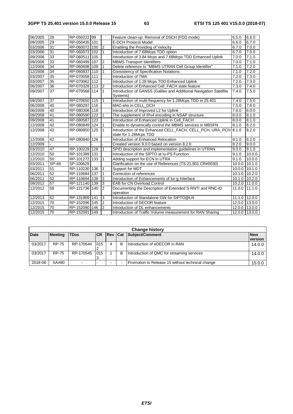| 06/2005 | 28    | RP-050222 99    |     |                | Feature clean-up: Removal of DSCH (FDD mode)                                   | 6.5.0  | 6.6.0  |
|---------|-------|-----------------|-----|----------------|--------------------------------------------------------------------------------|--------|--------|
| 09/2005 | 29    | RP-050435 101   |     |                | <b>E-DCH Protocol Model</b>                                                    | 6.6.0  | 6.7.0  |
| 03/2006 | 31    | RP-060072   100 |     | $\overline{2}$ | Enabling the Providing of Velocity                                             | 6.7.0  | 7.0.0  |
| 03/2006 | 31    | RP-060073 102   |     | 1              | Introduction of 7.68Mcps TDD option                                            | 6.7.0  | 7.0.0  |
| 09/2006 | 33    | RP-060511       | 105 |                | Introduction of 3.84 Mcps and 7.68Mcps TDD Enhanced Uplink                     | 7.0.0  | 7.1.0  |
| 09/2006 | 33    | RP-060499       | 107 | $\overline{2}$ | <b>MBMS</b> Transport Identifiers                                              | 7.0.0  | 7.1.0  |
| 12/2006 | 34    | RP-060698       | 109 |                | Delete reference to "MBMS UTRAN Cell Group Identifier"                         | 7.1.0  | 7.2.0  |
| 12/2006 | 34    | RP-060837       | 110 |                | <b>Consistency of Specification Notations</b>                                  | 7.1.0  | 7.2.0  |
| 03/2007 | 35    | RP-070058 111   |     |                | Introduction of TMA                                                            | 7.2.0  | 7.3.0  |
| 03/2007 | 35    | RP-070062 112   |     |                | Introduction of 1.28 Mcps TDD Enhanced Uplink                                  | 7.2.0  | 7.3.0  |
| 06/2007 | 36    | RP-070328 113   |     | <sup>2</sup>   | Introduction of Enhanced Cell FACH state feature                               | 7.3.0  | 7.4.0  |
| 09/2007 | 37    | RP-070568 114   |     | $\mathbf{1}$   | Introduction of GANSS (Galileo and Additional Navigation Satellite<br>Systems) | 7.4.0  | 7.5.0  |
| 09/2007 | 37    | RP-070650 115   |     | 1              | Introduction of multi-frequency for 1.28Mcps TDD in 25.401                     | 7.4.0  | 7.5.0  |
| 06/2008 | 40    | RP-080297 116   |     |                | MAC-ehs in CELL DCH                                                            | 7.5.0  | 7.6.0  |
| 06/2008 | 40    | RP-080306 118   |     |                | Introduction of Improved L2 for Uplink                                         | 7.6.0  | 8.0.0  |
| 09/2008 | 41    | RP-080590 122   |     |                | The supplement of IPv4 encoding in NSAP structure                              | 8.0.0  | 8.1.0  |
| 09/2008 | 41    | RP-080587 123   |     |                | Introduction of Enhanced Uplink in Cell_FACH                                   | 8.0.0  | 8.1.0  |
| 12/2008 | 42    | RP-080849 124   |     | $\mathbf{1}$   | Enable to dynamically control the MBMS services in MBSFN                       | 8.1.0  | 8.2.0  |
| 12/2008 | 42    | RP-080850 125   |     | $\mathbf{1}$   | Introduction of the Enhanced CELL FACH, CELL PCH, URA PCH                      | 8.1.0  | 8.2.0  |
|         |       |                 |     |                | state for 1.28Mcps TDD                                                         |        |        |
| 12/2008 | 42    | RP-080840 126   |     |                | Introduction of Enhanced Relocation                                            | 8.1.0  | 8.2.0  |
| 12/2009 |       |                 |     |                | Created version 9.0.0 based on version 8.2.0                                   | 8.2.0  | 9.0.0  |
| 03/2010 | 47    | RP-100229 128   |     | 1              | SPID description and implementation guidelines in UTRAN                        | 9.0.0  | 9.1.0  |
| 12/2010 | 50    | RP-101389 131   |     |                | Introduction of the SIPTO at Iu-PS Function                                    | 9.1.0  | 10.0.0 |
| 12/2010 | 50    | RP-101272 133   |     |                | Adding support for ECN in UTRA                                                 | 9.1.0  | 10.0.0 |
| 03/2011 | SP-49 | SP-100629       |     |                | Clarification on the use of References (TS 21.801 CR#0030)                     | 10.0.0 | 10.1.0 |
| 03/2011 | 51    | RP-110230 136   |     |                | Support for MDT                                                                | 10.0.0 | 10.1.0 |
| 06/2011 | 52    | RP-110684 137   |     | $\mathbf{1}$   | Correction of references                                                       | 10.1.0 | 10.2.0 |
| 06/2011 | 52    | RP-110694 138   |     | 3              | Introduction of Enhancements of lur-g Interface                                | 10.1.0 | 10.2.0 |
| 09/2012 | 57    | RP-121140 139   |     | $\mathbf{3}$   | <b>EAB for CN Overload Control</b>                                             | 10.2.0 | 11.0.0 |
| 12/2012 | 58    | RP-121736 140   |     | $\overline{2}$ | Documenting the Description of Extended S-RNTI and RNC-ID                      | 11.0.0 | 11.1.0 |
|         |       |                 |     |                | operation                                                                      |        |        |
| 12/2013 | 62    | RP-131909 141   |     | 3              | Introduction of Standalone GW for SIPTO@LN                                     | 11.1.0 | 12.0.0 |
| 12/2015 | 70    | RP-152096 145   |     | $\overline{2}$ | Introduction of DECOR feature                                                  | 12.0.0 | 13.0.0 |
| 12/2015 | 70    | RP-152090 146   |     | $\overline{2}$ | Introduction of DL enhancements                                                | 12.0.0 | 13.0.0 |
| 12/2015 | 70    | RP-152091 149   |     |                | Introduction of Traffic Volume measurement for RAN Sharing                     | 12.0.0 | 13.0.0 |

|             | <b>Change history</b> |             |            |                |   |                                                  |                       |  |
|-------------|-----------------------|-------------|------------|----------------|---|--------------------------------------------------|-----------------------|--|
| <b>Date</b> | Meeting               | <b>TDoc</b> | <b>ICR</b> | <b>Rev Cat</b> |   | Subject/Comment                                  | <b>New</b><br>version |  |
| 03/2017     | <b>RP-75</b>          | RP-170544   | 015        | 4              | в | Introduction of eDECOR in RAN                    | 14.0.0                |  |
| 03/2017     | RP-75                 | RP-170545   | 015<br>3   |                | В | Introduction of QMC for streaming services       | 14.0.0                |  |
| 2018-06     | SA#80                 |             |            |                |   | Promotion to Release 15 without technical change | 15.0.0                |  |